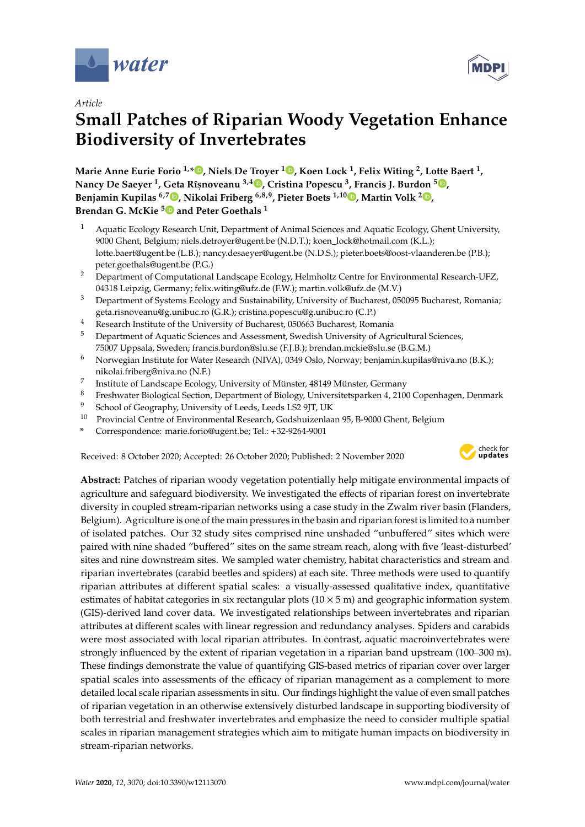



# **Small Patches of Riparian Woody Vegetation Enhance Biodiversity of Invertebrates**

**Marie Anne Eurie Forio 1,\* [,](https://orcid.org/0000-0001-6675-4751) Niels De Troyer <sup>1</sup> [,](https://orcid.org/0000-0001-7711-7547) Koen Lock <sup>1</sup> , Felix Witing <sup>2</sup> , Lotte Baert <sup>1</sup> , Nancy De Saeyer <sup>1</sup> , Geta Rîs,noveanu 3,4 [,](https://orcid.org/0000-0002-5194-5448) Cristina Popescu <sup>3</sup> , Francis J. Burdon <sup>5</sup> [,](https://orcid.org/0000-0002-5398-4993) Benjamin Kupilas 6,7 [,](https://orcid.org/0000-0002-4211-1679) Nikolai Friberg 6,8,9, Pieter Boets 1,10 [,](https://orcid.org/0000-0001-8183-328X) Martin Volk <sup>2</sup> [,](https://orcid.org/0000-0003-0064-8133) Brendan G. McKie [5](https://orcid.org/0000-0002-1796-9497) and Peter Goethals <sup>1</sup>**

- <sup>1</sup> Aquatic Ecology Research Unit, Department of Animal Sciences and Aquatic Ecology, Ghent University, 9000 Ghent, Belgium; niels.detroyer@ugent.be (N.D.T.); koen\_lock@hotmail.com (K.L.); lotte.baert@ugent.be (L.B.); nancy.desaeyer@ugent.be (N.D.S.); pieter.boets@oost-vlaanderen.be (P.B.); peter.goethals@ugent.be (P.G.)
- <sup>2</sup> Department of Computational Landscape Ecology, Helmholtz Centre for Environmental Research-UFZ, 04318 Leipzig, Germany; felix.witing@ufz.de (F.W.); martin.volk@ufz.de (M.V.)
- <sup>3</sup> Department of Systems Ecology and Sustainability, University of Bucharest, 050095 Bucharest, Romania; geta.risnoveanu@g.unibuc.ro (G.R.); cristina.popescu@g.unibuc.ro (C.P.)
- <sup>4</sup> Research Institute of the University of Bucharest, 050663 Bucharest, Romania<br><sup>5</sup> Department of Agreetic Grimese and Agreement Carolish University of Agr
- <sup>5</sup> Department of Aquatic Sciences and Assessment, Swedish University of Agricultural Sciences, 75007 Uppsala, Sweden; francis.burdon@slu.se (F.J.B.); brendan.mckie@slu.se (B.G.M.)
- <sup>6</sup> Norwegian Institute for Water Research (NIVA), 0349 Oslo, Norway; benjamin.kupilas@niva.no (B.K.); nikolai.friberg@niva.no (N.F.)
- 7 Institute of Landscape Ecology, University of Münster, 48149 Münster, Germany
- 8 Freshwater Biological Section, Department of Biology, Universitetsparken 4, 2100 Copenhagen, Denmark
- <sup>9</sup> School of Geography, University of Leeds, Leeds LS2 9JT, UK
- <sup>10</sup> Provincial Centre of Environmental Research, Godshuizenlaan 95, B-9000 Ghent, Belgium
- **\*** Correspondence: marie.forio@ugent.be; Tel.: +32-9264-9001

Received: 8 October 2020; Accepted: 26 October 2020; Published: 2 November 2020



**Abstract:** Patches of riparian woody vegetation potentially help mitigate environmental impacts of agriculture and safeguard biodiversity. We investigated the effects of riparian forest on invertebrate diversity in coupled stream-riparian networks using a case study in the Zwalm river basin (Flanders, Belgium). Agriculture is one of the main pressures in the basin and riparian forest is limited to a number of isolated patches. Our 32 study sites comprised nine unshaded "unbuffered" sites which were paired with nine shaded "buffered" sites on the same stream reach, along with five 'least-disturbed' sites and nine downstream sites. We sampled water chemistry, habitat characteristics and stream and riparian invertebrates (carabid beetles and spiders) at each site. Three methods were used to quantify riparian attributes at different spatial scales: a visually-assessed qualitative index, quantitative estimates of habitat categories in six rectangular plots  $(10 \times 5 \text{ m})$  and geographic information system (GIS)-derived land cover data. We investigated relationships between invertebrates and riparian attributes at different scales with linear regression and redundancy analyses. Spiders and carabids were most associated with local riparian attributes. In contrast, aquatic macroinvertebrates were strongly influenced by the extent of riparian vegetation in a riparian band upstream (100–300 m). These findings demonstrate the value of quantifying GIS-based metrics of riparian cover over larger spatial scales into assessments of the efficacy of riparian management as a complement to more detailed local scale riparian assessments in situ. Our findings highlight the value of even small patches of riparian vegetation in an otherwise extensively disturbed landscape in supporting biodiversity of both terrestrial and freshwater invertebrates and emphasize the need to consider multiple spatial scales in riparian management strategies which aim to mitigate human impacts on biodiversity in stream-riparian networks.

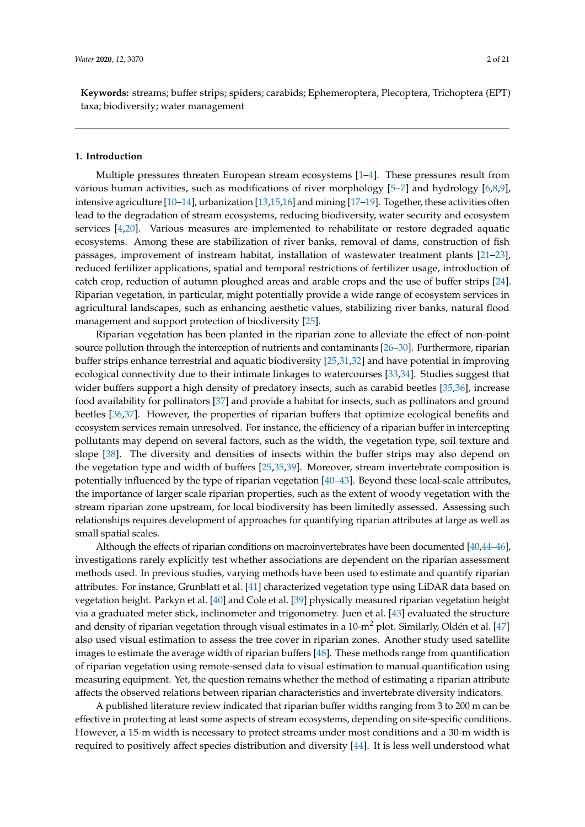**Keywords:** streams; buffer strips; spiders; carabids; Ephemeroptera, Plecoptera, Trichoptera (EPT) taxa; biodiversity; water management

#### **1. Introduction**

Multiple pressures threaten European stream ecosystems  $[1-4]$  $[1-4]$ . These pressures result from various human activities, such as modifications of river morphology [\[5–](#page-15-2)[7\]](#page-15-3) and hydrology [\[6,](#page-15-4)[8,](#page-15-5)[9\]](#page-15-6), intensive agriculture [\[10–](#page-15-7)[14\]](#page-16-0), urbanization [\[13](#page-16-1)[,15,](#page-16-2)[16\]](#page-16-3) and mining [\[17–](#page-16-4)[19\]](#page-16-5). Together, these activities often lead to the degradation of stream ecosystems, reducing biodiversity, water security and ecosystem services [\[4](#page-15-1)[,20\]](#page-16-6). Various measures are implemented to rehabilitate or restore degraded aquatic ecosystems. Among these are stabilization of river banks, removal of dams, construction of fish passages, improvement of instream habitat, installation of wastewater treatment plants [\[21](#page-16-7)[–23\]](#page-16-8), reduced fertilizer applications, spatial and temporal restrictions of fertilizer usage, introduction of catch crop, reduction of autumn ploughed areas and arable crops and the use of buffer strips [\[24\]](#page-16-9). Riparian vegetation, in particular, might potentially provide a wide range of ecosystem services in agricultural landscapes, such as enhancing aesthetic values, stabilizing river banks, natural flood management and support protection of biodiversity [\[25\]](#page-16-10).

Riparian vegetation has been planted in the riparian zone to alleviate the effect of non-point source pollution through the interception of nutrients and contaminants [\[26–](#page-16-11)[30\]](#page-16-12). Furthermore, riparian buffer strips enhance terrestrial and aquatic biodiversity [\[25,](#page-16-10)[31](#page-16-13)[,32\]](#page-16-14) and have potential in improving ecological connectivity due to their intimate linkages to watercourses [\[33,](#page-16-15)[34\]](#page-16-16). Studies suggest that wider buffers support a high density of predatory insects, such as carabid beetles [\[35](#page-17-0)[,36\]](#page-17-1), increase food availability for pollinators [\[37\]](#page-17-2) and provide a habitat for insects, such as pollinators and ground beetles [\[36,](#page-17-1)[37\]](#page-17-2). However, the properties of riparian buffers that optimize ecological benefits and ecosystem services remain unresolved. For instance, the efficiency of a riparian buffer in intercepting pollutants may depend on several factors, such as the width, the vegetation type, soil texture and slope [\[38\]](#page-17-3). The diversity and densities of insects within the buffer strips may also depend on the vegetation type and width of buffers [\[25,](#page-16-10)[35,](#page-17-0)[39\]](#page-17-4). Moreover, stream invertebrate composition is potentially influenced by the type of riparian vegetation [\[40–](#page-17-5)[43\]](#page-17-6). Beyond these local-scale attributes, the importance of larger scale riparian properties, such as the extent of woody vegetation with the stream riparian zone upstream, for local biodiversity has been limitedly assessed. Assessing such relationships requires development of approaches for quantifying riparian attributes at large as well as small spatial scales.

Although the effects of riparian conditions on macroinvertebrates have been documented [\[40](#page-17-5)[,44–](#page-17-7)[46\]](#page-17-8), investigations rarely explicitly test whether associations are dependent on the riparian assessment methods used. In previous studies, varying methods have been used to estimate and quantify riparian attributes. For instance, Grunblatt et al. [\[41\]](#page-17-9) characterized vegetation type using LiDAR data based on vegetation height. Parkyn et al. [\[40\]](#page-17-5) and Cole et al. [\[39\]](#page-17-4) physically measured riparian vegetation height via a graduated meter stick, inclinometer and trigonometry. Juen et al. [\[43\]](#page-17-6) evaluated the structure and density of riparian vegetation through visual estimates in a  $10\text{-m}^2$  plot. Similarly, Oldén et al. [\[47\]](#page-17-10) also used visual estimation to assess the tree cover in riparian zones. Another study used satellite images to estimate the average width of riparian buffers [\[48\]](#page-17-11). These methods range from quantification of riparian vegetation using remote-sensed data to visual estimation to manual quantification using measuring equipment. Yet, the question remains whether the method of estimating a riparian attribute affects the observed relations between riparian characteristics and invertebrate diversity indicators.

A published literature review indicated that riparian buffer widths ranging from 3 to 200 m can be effective in protecting at least some aspects of stream ecosystems, depending on site-specific conditions. However, a 15-m width is necessary to protect streams under most conditions and a 30-m width is required to positively affect species distribution and diversity [\[44\]](#page-17-7). It is less well understood what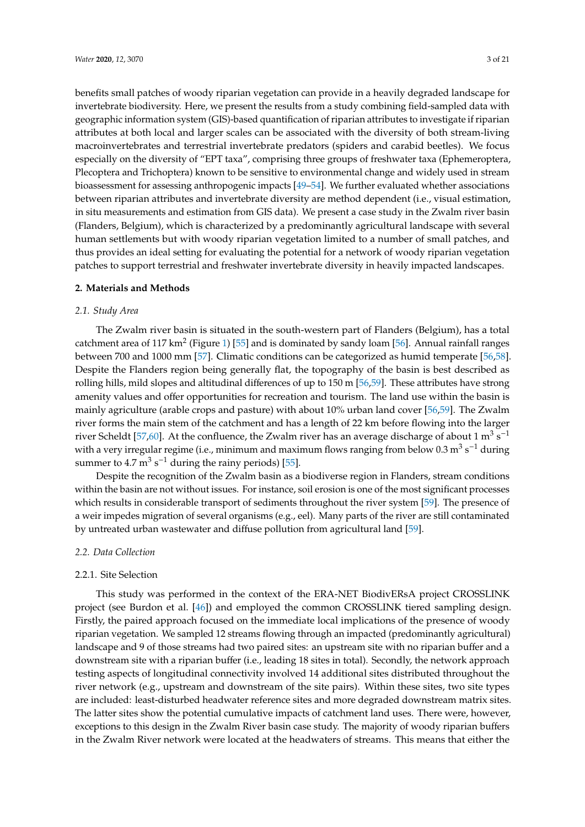benefits small patches of woody riparian vegetation can provide in a heavily degraded landscape for invertebrate biodiversity. Here, we present the results from a study combining field-sampled data with geographic information system (GIS)-based quantification of riparian attributes to investigate if riparian attributes at both local and larger scales can be associated with the diversity of both stream-living macroinvertebrates and terrestrial invertebrate predators (spiders and carabid beetles). We focus especially on the diversity of "EPT taxa", comprising three groups of freshwater taxa (Ephemeroptera, Plecoptera and Trichoptera) known to be sensitive to environmental change and widely used in stream bioassessment for assessing anthropogenic impacts [\[49–](#page-17-12)[54\]](#page-17-13). We further evaluated whether associations between riparian attributes and invertebrate diversity are method dependent (i.e., visual estimation, in situ measurements and estimation from GIS data). We present a case study in the Zwalm river basin (Flanders, Belgium), which is characterized by a predominantly agricultural landscape with several human settlements but with woody riparian vegetation limited to a number of small patches, and thus provides an ideal setting for evaluating the potential for a network of woody riparian vegetation patches to support terrestrial and freshwater invertebrate diversity in heavily impacted landscapes.

#### **2. Materials and Methods**

# *2.1. Study Area*

The Zwalm river basin is situated in the south-western part of Flanders (Belgium), has a total catchment area of 117 km<sup>2</sup> (Figure [1\)](#page-3-0) [\[55\]](#page-17-14) and is dominated by sandy loam [\[56\]](#page-18-0). Annual rainfall ranges between 700 and 1000 mm [\[57\]](#page-18-1). Climatic conditions can be categorized as humid temperate [\[56,](#page-18-0)[58\]](#page-18-2). Despite the Flanders region being generally flat, the topography of the basin is best described as rolling hills, mild slopes and altitudinal differences of up to 150 m [\[56](#page-18-0)[,59\]](#page-18-3). These attributes have strong amenity values and offer opportunities for recreation and tourism. The land use within the basin is mainly agriculture (arable crops and pasture) with about 10% urban land cover [\[56](#page-18-0)[,59\]](#page-18-3). The Zwalm river forms the main stem of the catchment and has a length of 22 km before flowing into the larger river Scheldt [\[57,](#page-18-1)[60\]](#page-18-4). At the confluence, the Zwalm river has an average discharge of about 1 m<sup>3</sup> s<sup>-1</sup> with a very irregular regime (i.e., minimum and maximum flows ranging from below 0.3 m<sup>3</sup> s<sup>-1</sup> during summer to  $4.7 \text{ m}^3 \text{ s}^{-1}$  during the rainy periods) [\[55\]](#page-17-14).

Despite the recognition of the Zwalm basin as a biodiverse region in Flanders, stream conditions within the basin are not without issues. For instance, soil erosion is one of the most significant processes which results in considerable transport of sediments throughout the river system [\[59\]](#page-18-3). The presence of a weir impedes migration of several organisms (e.g., eel). Many parts of the river are still contaminated by untreated urban wastewater and diffuse pollution from agricultural land [\[59\]](#page-18-3).

# *2.2. Data Collection*

#### 2.2.1. Site Selection

This study was performed in the context of the ERA-NET BiodivERsA project CROSSLINK project (see Burdon et al. [\[46\]](#page-17-8)) and employed the common CROSSLINK tiered sampling design. Firstly, the paired approach focused on the immediate local implications of the presence of woody riparian vegetation. We sampled 12 streams flowing through an impacted (predominantly agricultural) landscape and 9 of those streams had two paired sites: an upstream site with no riparian buffer and a downstream site with a riparian buffer (i.e., leading 18 sites in total). Secondly, the network approach testing aspects of longitudinal connectivity involved 14 additional sites distributed throughout the river network (e.g., upstream and downstream of the site pairs). Within these sites, two site types are included: least-disturbed headwater reference sites and more degraded downstream matrix sites. The latter sites show the potential cumulative impacts of catchment land uses. There were, however, exceptions to this design in the Zwalm River basin case study. The majority of woody riparian buffers in the Zwalm River network were located at the headwaters of streams. This means that either the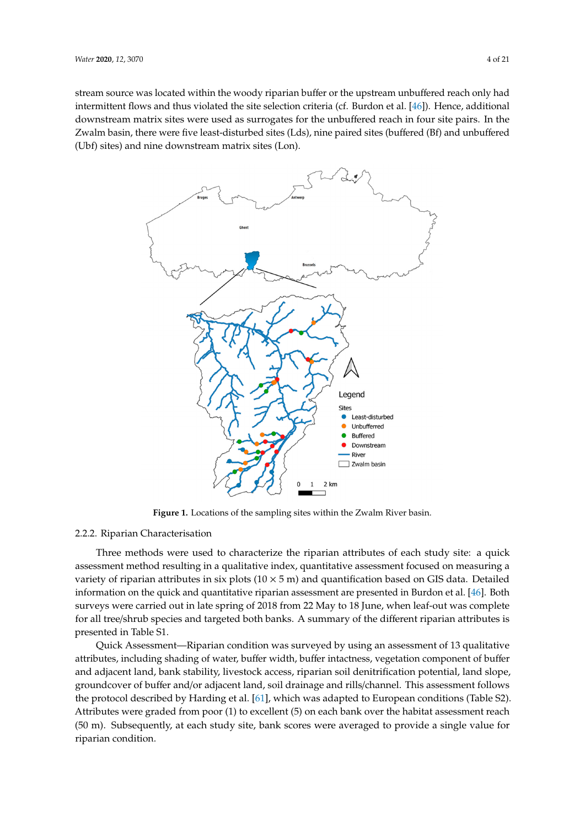stream source was located within the woody riparian buffer or the upstream unbuffered reach only had intermittent flows and thus violated the site selection criteria (cf. Burdon et al. [\[46\]](#page-17-8)). Hence, additional downstream matrix sites were used as surrogates for the unbuffered reach in four site pairs. In the Zwalm basin, there were five least-disturbed sites (Lds), nine paired sites (buffered (Bf) and unbuffered (Ubf) sites) and nine downstream matrix sites (Lon).

<span id="page-3-0"></span>

**Figure 1.** Locations of the sampling sites within the Zwalm River basin.

# 2.2.2. Riparian Characterisation

Three methods were used to characterize the riparian attributes of each study site: a quick variety of riparian attributes in six plots  $(10 \times 5 \text{ m})$  and quantification based on GIS data. Detailed information on the quick and quantitative riparian assessment are presented in Burdon et al. [46]. Both surveys were carried out in late spring of 2018 from 22 May to 18 June, when leaf-out was complete for all tree/shrub species and targeted both banks. A summary of the different riparian attributes is presented in Table S1.  $\blacksquare$ assessment method resulting in a qualitative index, quantitative assessment focused on measuring a

Quick Assessment—Riparian condition was surveyed by using an assessment of 13 qualitative attributes, including shading of water, buffer width, buffer intactness, vegetation component of buffer and adjacent land, bank stability, livestock access, riparian soil denitrification potential, land slope, groundcover of buffer and/or adjacent land, soil drainage and rills/channel. This assessment follows the protocol described by Harding et al. [61], which was adapted to European conditions (Table S2). Attributes were graded from poor (1) to excellent (5) on each bank over the habitat assessment reach (50 m). Subsequently, at each study site, bank scores were averaged to provide a single value for riparian condition.  $\mathcal{L}$  is the  $\mathcal{L}$  matrix were located at the headwaters of  $\mathcal{L}$  at the headwaters of  $\mathcal{L}$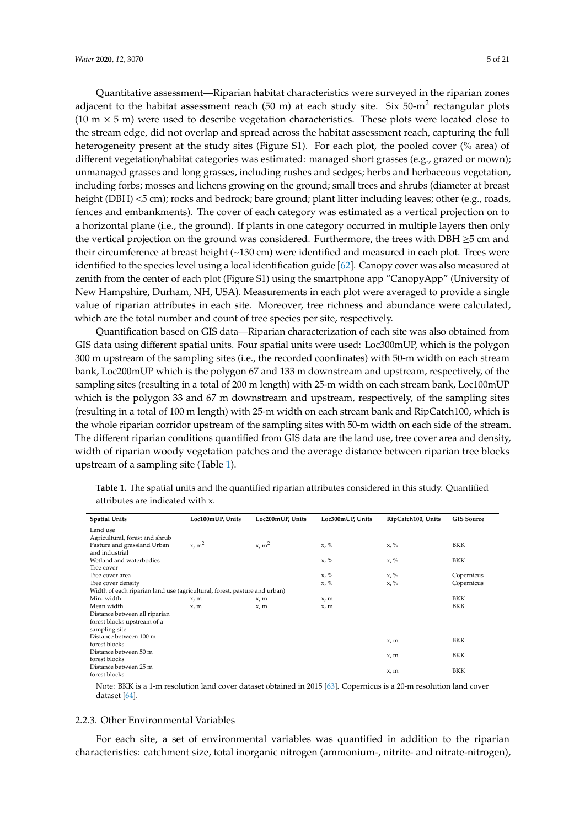Quantitative assessment—Riparian habitat characteristics were surveyed in the riparian zones adjacent to the habitat assessment reach (50 m) at each study site. Six 50-m<sup>2</sup> rectangular plots  $(10 \text{ m} \times 5 \text{ m})$  were used to describe vegetation characteristics. These plots were located close to the stream edge, did not overlap and spread across the habitat assessment reach, capturing the full heterogeneity present at the study sites (Figure S1). For each plot, the pooled cover (% area) of different vegetation/habitat categories was estimated: managed short grasses (e.g., grazed or mown); unmanaged grasses and long grasses, including rushes and sedges; herbs and herbaceous vegetation, including forbs; mosses and lichens growing on the ground; small trees and shrubs (diameter at breast height (DBH) <5 cm); rocks and bedrock; bare ground; plant litter including leaves; other (e.g., roads, fences and embankments). The cover of each category was estimated as a vertical projection on to a horizontal plane (i.e., the ground). If plants in one category occurred in multiple layers then only the vertical projection on the ground was considered. Furthermore, the trees with DBH  $\geq$ 5 cm and their circumference at breast height (~130 cm) were identified and measured in each plot. Trees were identified to the species level using a local identification guide [\[62\]](#page-18-6). Canopy cover was also measured at zenith from the center of each plot (Figure S1) using the smartphone app "CanopyApp" (University of New Hampshire, Durham, NH, USA). Measurements in each plot were averaged to provide a single value of riparian attributes in each site. Moreover, tree richness and abundance were calculated, which are the total number and count of tree species per site, respectively.

Quantification based on GIS data—Riparian characterization of each site was also obtained from GIS data using different spatial units. Four spatial units were used: Loc300mUP, which is the polygon 300 m upstream of the sampling sites (i.e., the recorded coordinates) with 50-m width on each stream bank, Loc200mUP which is the polygon 67 and 133 m downstream and upstream, respectively, of the sampling sites (resulting in a total of 200 m length) with 25-m width on each stream bank, Loc100mUP which is the polygon 33 and 67 m downstream and upstream, respectively, of the sampling sites (resulting in a total of 100 m length) with 25-m width on each stream bank and RipCatch100, which is the whole riparian corridor upstream of the sampling sites with 50-m width on each side of the stream. The different riparian conditions quantified from GIS data are the land use, tree cover area and density, width of riparian woody vegetation patches and the average distance between riparian tree blocks upstream of a sampling site (Table [1\)](#page-4-0).

| <b>Spatial Units</b>                                                      | Loc100mUP, Units  | Loc200mUP, Units  | Loc300mUP, Units | RipCatch100, Units | <b>GIS Source</b> |  |  |  |
|---------------------------------------------------------------------------|-------------------|-------------------|------------------|--------------------|-------------------|--|--|--|
| Land use                                                                  |                   |                   |                  |                    |                   |  |  |  |
| Agricultural, forest and shrub                                            |                   |                   |                  |                    |                   |  |  |  |
| Pasture and grassland Urban                                               | x, m <sup>2</sup> | x, m <sup>2</sup> | $x, \%$          | $x, \%$            | <b>BKK</b>        |  |  |  |
| and industrial                                                            |                   |                   |                  |                    |                   |  |  |  |
| Wetland and waterbodies                                                   |                   |                   | $x, \%$          | $x, \%$            | <b>BKK</b>        |  |  |  |
| Tree cover                                                                |                   |                   |                  |                    |                   |  |  |  |
| Tree cover area                                                           |                   |                   | $x, \%$          | $x, \%$            | Copernicus        |  |  |  |
| Tree cover density                                                        |                   |                   | $x, \%$          | $x, \%$            | Copernicus        |  |  |  |
| Width of each riparian land use (agricultural, forest, pasture and urban) |                   |                   |                  |                    |                   |  |  |  |
| Min. width                                                                | x, m              | x, m              | x, m             |                    | <b>BKK</b>        |  |  |  |
| Mean width                                                                | x.m               | x, m              | x, m             |                    | BKK               |  |  |  |
| Distance between all riparian                                             |                   |                   |                  |                    |                   |  |  |  |
| forest blocks upstream of a                                               |                   |                   |                  |                    |                   |  |  |  |
| sampling site                                                             |                   |                   |                  |                    |                   |  |  |  |
| Distance between 100 m                                                    |                   |                   |                  | x, m               | <b>BKK</b>        |  |  |  |
| forest blocks                                                             |                   |                   |                  |                    |                   |  |  |  |
| Distance between 50 m                                                     |                   |                   |                  | x, m               | <b>BKK</b>        |  |  |  |
| forest blocks                                                             |                   |                   |                  |                    |                   |  |  |  |
| Distance between 25 m                                                     |                   |                   |                  | x, m               | <b>BKK</b>        |  |  |  |
| forest blocks                                                             |                   |                   |                  |                    |                   |  |  |  |

<span id="page-4-0"></span>**Table 1.** The spatial units and the quantified riparian attributes considered in this study. Quantified attributes are indicated with x.

Note: BKK is a 1-m resolution land cover dataset obtained in 2015 [\[63\]](#page-18-7). Copernicus is a 20-m resolution land cover dataset [\[64\]](#page-18-8).

#### 2.2.3. Other Environmental Variables

For each site, a set of environmental variables was quantified in addition to the riparian characteristics: catchment size, total inorganic nitrogen (ammonium-, nitrite- and nitrate-nitrogen),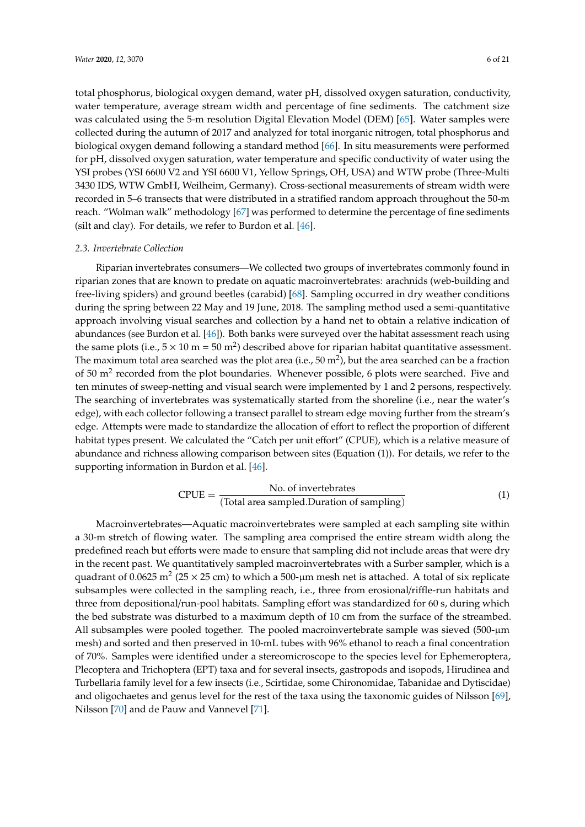total phosphorus, biological oxygen demand, water pH, dissolved oxygen saturation, conductivity, water temperature, average stream width and percentage of fine sediments. The catchment size was calculated using the 5-m resolution Digital Elevation Model (DEM) [\[65\]](#page-18-9). Water samples were collected during the autumn of 2017 and analyzed for total inorganic nitrogen, total phosphorus and biological oxygen demand following a standard method [\[66\]](#page-18-10). In situ measurements were performed for pH, dissolved oxygen saturation, water temperature and specific conductivity of water using the YSI probes (YSI 6600 V2 and YSI 6600 V1, Yellow Springs, OH, USA) and WTW probe (Three-Multi 3430 IDS, WTW GmbH, Weilheim, Germany). Cross-sectional measurements of stream width were recorded in 5–6 transects that were distributed in a stratified random approach throughout the 50-m reach. "Wolman walk" methodology [\[67\]](#page-18-11) was performed to determine the percentage of fine sediments (silt and clay). For details, we refer to Burdon et al. [\[46\]](#page-17-8).

## <span id="page-5-0"></span>*2.3. Invertebrate Collection*

Riparian invertebrates consumers—We collected two groups of invertebrates commonly found in riparian zones that are known to predate on aquatic macroinvertebrates: arachnids (web-building and free-living spiders) and ground beetles (carabid) [\[68\]](#page-18-12). Sampling occurred in dry weather conditions during the spring between 22 May and 19 June, 2018. The sampling method used a semi-quantitative approach involving visual searches and collection by a hand net to obtain a relative indication of abundances (see Burdon et al. [\[46\]](#page-17-8)). Both banks were surveyed over the habitat assessment reach using the same plots (i.e.,  $5 \times 10$  m =  $50$  m<sup>2</sup>) described above for riparian habitat quantitative assessment. The maximum total area searched was the plot area (i.e., 50 m<sup>2</sup>), but the area searched can be a fraction of 50  $m<sup>2</sup>$  recorded from the plot boundaries. Whenever possible, 6 plots were searched. Five and ten minutes of sweep-netting and visual search were implemented by 1 and 2 persons, respectively. The searching of invertebrates was systematically started from the shoreline (i.e., near the water's edge), with each collector following a transect parallel to stream edge moving further from the stream's edge. Attempts were made to standardize the allocation of effort to reflect the proportion of different habitat types present. We calculated the "Catch per unit effort" (CPUE), which is a relative measure of abundance and richness allowing comparison between sites (Equation (1)). For details, we refer to the supporting information in Burdon et al. [\[46\]](#page-17-8).

$$
CPUE = \frac{No. of invertebrates}{(Total area sampled.Duration of sampling)}
$$
 (1)

Macroinvertebrates—Aquatic macroinvertebrates were sampled at each sampling site within a 30-m stretch of flowing water. The sampling area comprised the entire stream width along the predefined reach but efforts were made to ensure that sampling did not include areas that were dry in the recent past. We quantitatively sampled macroinvertebrates with a Surber sampler, which is a quadrant of 0.0625 m<sup>2</sup> (25  $\times$  25 cm) to which a 500-µm mesh net is attached. A total of six replicate subsamples were collected in the sampling reach, i.e., three from erosional/riffle-run habitats and three from depositional/run-pool habitats. Sampling effort was standardized for 60 s, during which the bed substrate was disturbed to a maximum depth of 10 cm from the surface of the streambed. All subsamples were pooled together. The pooled macroinvertebrate sample was sieved (500-µm mesh) and sorted and then preserved in 10-mL tubes with 96% ethanol to reach a final concentration of 70%. Samples were identified under a stereomicroscope to the species level for Ephemeroptera, Plecoptera and Trichoptera (EPT) taxa and for several insects, gastropods and isopods, Hirudinea and Turbellaria family level for a few insects (i.e., Scirtidae, some Chironomidae, Tabanidae and Dytiscidae) and oligochaetes and genus level for the rest of the taxa using the taxonomic guides of Nilsson [\[69\]](#page-18-13), Nilsson [\[70\]](#page-18-14) and de Pauw and Vannevel [\[71\]](#page-18-15).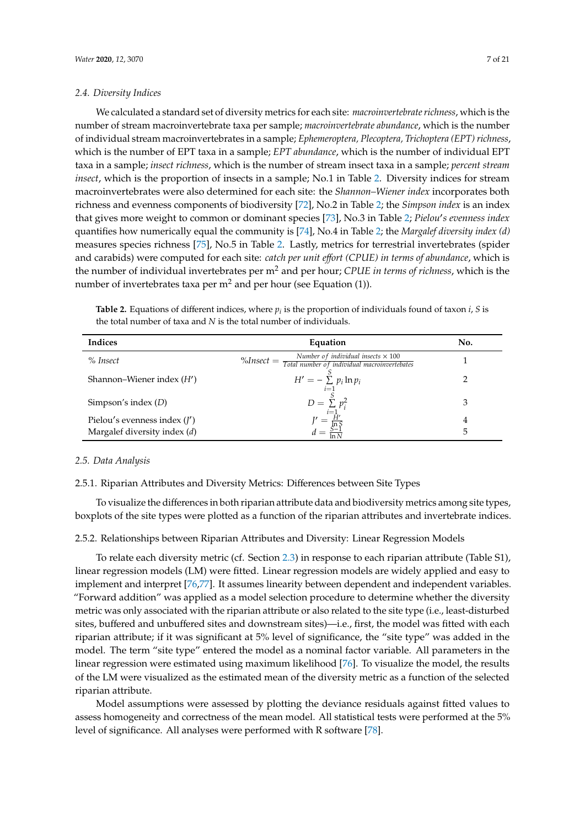#### *2.4. Diversity Indices*

We calculated a standard set of diversity metrics for each site: *macroinvertebrate richness*, which is the number of stream macroinvertebrate taxa per sample; *macroinvertebrate abundance*, which is the number of individual stream macroinvertebrates in a sample; *Ephemeroptera, Plecoptera, Trichoptera (EPT) richness*, which is the number of EPT taxa in a sample; *EPT abundance*, which is the number of individual EPT taxa in a sample; *insect richness*, which is the number of stream insect taxa in a sample; *percent stream insect*, which is the proportion of insects in a sample; No.1 in Table [2.](#page-6-0) Diversity indices for stream macroinvertebrates were also determined for each site: the *Shannon–Wiener index* incorporates both richness and evenness components of biodiversity [\[72\]](#page-18-16), No.2 in Table [2;](#page-6-0) the *Simpson index* is an index that gives more weight to common or dominant species [\[73\]](#page-18-17), No.3 in Table [2;](#page-6-0) *Pielou's evenness index* quantifies how numerically equal the community is [\[74\]](#page-18-18), No.4 in Table [2;](#page-6-0) the *Margalef diversity index (d)* measures species richness [\[75\]](#page-18-19), No.5 in Table [2.](#page-6-0) Lastly, metrics for terrestrial invertebrates (spider and carabids) were computed for each site: *catch per unit e*ff*ort (CPUE) in terms of abundance*, which is the number of individual invertebrates per m<sup>2</sup> and per hour; *CPUE in terms of richness*, which is the number of invertebrates taxa per  $m<sup>2</sup>$  and per hour (see Equation (1)).

<span id="page-6-0"></span>

| <b>Table 2.</b> Equations of different indices, where $p_i$ is the proportion of individuals found of taxon <i>i</i> , <i>S</i> is |
|------------------------------------------------------------------------------------------------------------------------------------|
| the total number of taxa and $N$ is the total number of individuals.                                                               |

| Indices                                                          | Equation                                                                                                                   | No.    |
|------------------------------------------------------------------|----------------------------------------------------------------------------------------------------------------------------|--------|
| % Insect                                                         | $\%$ Insect = $\frac{\text{Number of individual insects} \times 100}{\text{Total number of individual macroinvertebates}}$ |        |
| Shannon–Wiener index $(H')$                                      | $H' = -\sum_{i=1} p_i \ln p_i$                                                                                             |        |
| Simpson's index $(D)$                                            | $D = \sum_{i=1}^{5} p_i^2$                                                                                                 | 3      |
| Pielou's evenness index $(I')$<br>Margalef diversity index $(d)$ | $d = \frac{\overline{H}'}{\overline{\ln S}}$<br>$d = \frac{\overline{S-1}}{\overline{\ln N}}$                              | 4<br>5 |

# *2.5. Data Analysis*

#### 2.5.1. Riparian Attributes and Diversity Metrics: Differences between Site Types

To visualize the differences in both riparian attribute data and biodiversity metrics among site types, boxplots of the site types were plotted as a function of the riparian attributes and invertebrate indices.

#### 2.5.2. Relationships between Riparian Attributes and Diversity: Linear Regression Models

To relate each diversity metric (cf. Section [2.3\)](#page-5-0) in response to each riparian attribute (Table S1), linear regression models (LM) were fitted. Linear regression models are widely applied and easy to implement and interpret [\[76,](#page-18-20)[77\]](#page-18-21). It assumes linearity between dependent and independent variables. "Forward addition" was applied as a model selection procedure to determine whether the diversity metric was only associated with the riparian attribute or also related to the site type (i.e., least-disturbed sites, buffered and unbuffered sites and downstream sites)—i.e., first, the model was fitted with each riparian attribute; if it was significant at 5% level of significance, the "site type" was added in the model. The term "site type" entered the model as a nominal factor variable. All parameters in the linear regression were estimated using maximum likelihood [\[76\]](#page-18-20). To visualize the model, the results of the LM were visualized as the estimated mean of the diversity metric as a function of the selected riparian attribute.

Model assumptions were assessed by plotting the deviance residuals against fitted values to assess homogeneity and correctness of the mean model. All statistical tests were performed at the 5% level of significance. All analyses were performed with R software [\[78\]](#page-19-0).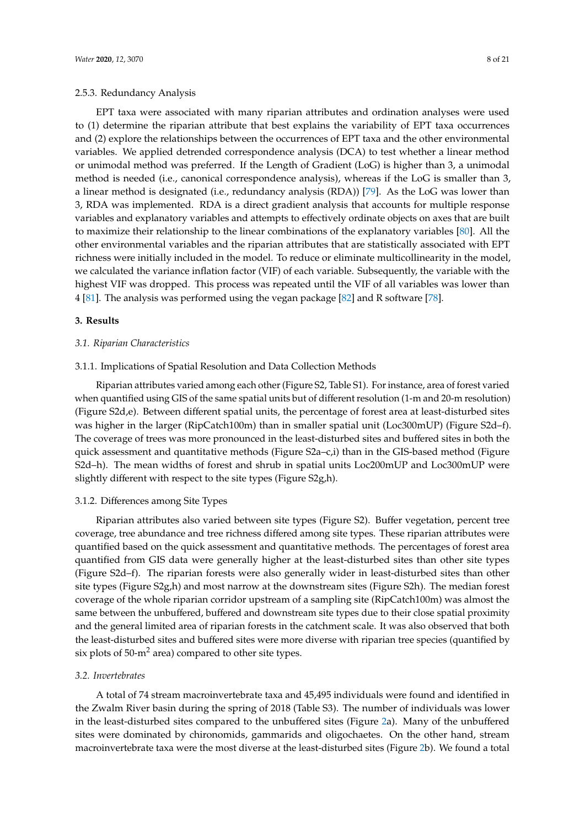# 2.5.3. Redundancy Analysis

EPT taxa were associated with many riparian attributes and ordination analyses were used to (1) determine the riparian attribute that best explains the variability of EPT taxa occurrences and (2) explore the relationships between the occurrences of EPT taxa and the other environmental variables. We applied detrended correspondence analysis (DCA) to test whether a linear method or unimodal method was preferred. If the Length of Gradient (LoG) is higher than 3, a unimodal method is needed (i.e., canonical correspondence analysis), whereas if the LoG is smaller than 3, a linear method is designated (i.e., redundancy analysis (RDA)) [\[79\]](#page-19-1). As the LoG was lower than 3, RDA was implemented. RDA is a direct gradient analysis that accounts for multiple response variables and explanatory variables and attempts to effectively ordinate objects on axes that are built to maximize their relationship to the linear combinations of the explanatory variables [\[80\]](#page-19-2). All the other environmental variables and the riparian attributes that are statistically associated with EPT richness were initially included in the model. To reduce or eliminate multicollinearity in the model, we calculated the variance inflation factor (VIF) of each variable. Subsequently, the variable with the highest VIF was dropped. This process was repeated until the VIF of all variables was lower than 4 [\[81\]](#page-19-3). The analysis was performed using the vegan package [\[82\]](#page-19-4) and R software [\[78\]](#page-19-0).

### **3. Results**

#### *3.1. Riparian Characteristics*

#### 3.1.1. Implications of Spatial Resolution and Data Collection Methods

Riparian attributes varied among each other (Figure S2, Table S1). For instance, area of forest varied when quantified using GIS of the same spatial units but of different resolution (1-m and 20-m resolution) (Figure S2d,e). Between different spatial units, the percentage of forest area at least-disturbed sites was higher in the larger (RipCatch100m) than in smaller spatial unit (Loc300mUP) (Figure S2d–f). The coverage of trees was more pronounced in the least-disturbed sites and buffered sites in both the quick assessment and quantitative methods (Figure S2a–c,i) than in the GIS-based method (Figure S2d–h). The mean widths of forest and shrub in spatial units Loc200mUP and Loc300mUP were slightly different with respect to the site types (Figure S2g,h).

# 3.1.2. Differences among Site Types

Riparian attributes also varied between site types (Figure S2). Buffer vegetation, percent tree coverage, tree abundance and tree richness differed among site types. These riparian attributes were quantified based on the quick assessment and quantitative methods. The percentages of forest area quantified from GIS data were generally higher at the least-disturbed sites than other site types (Figure S2d–f). The riparian forests were also generally wider in least-disturbed sites than other site types (Figure S2g,h) and most narrow at the downstream sites (Figure S2h). The median forest coverage of the whole riparian corridor upstream of a sampling site (RipCatch100m) was almost the same between the unbuffered, buffered and downstream site types due to their close spatial proximity and the general limited area of riparian forests in the catchment scale. It was also observed that both the least-disturbed sites and buffered sites were more diverse with riparian tree species (quantified by six plots of  $50\text{-m}^2$  area) compared to other site types.

# *3.2. Invertebrates*

A total of 74 stream macroinvertebrate taxa and 45,495 individuals were found and identified in the Zwalm River basin during the spring of 2018 (Table S3). The number of individuals was lower in the least-disturbed sites compared to the unbuffered sites (Figure [2a](#page-8-0)). Many of the unbuffered sites were dominated by chironomids, gammarids and oligochaetes. On the other hand, stream macroinvertebrate taxa were the most diverse at the least-disturbed sites (Figure [2b](#page-8-0)). We found a total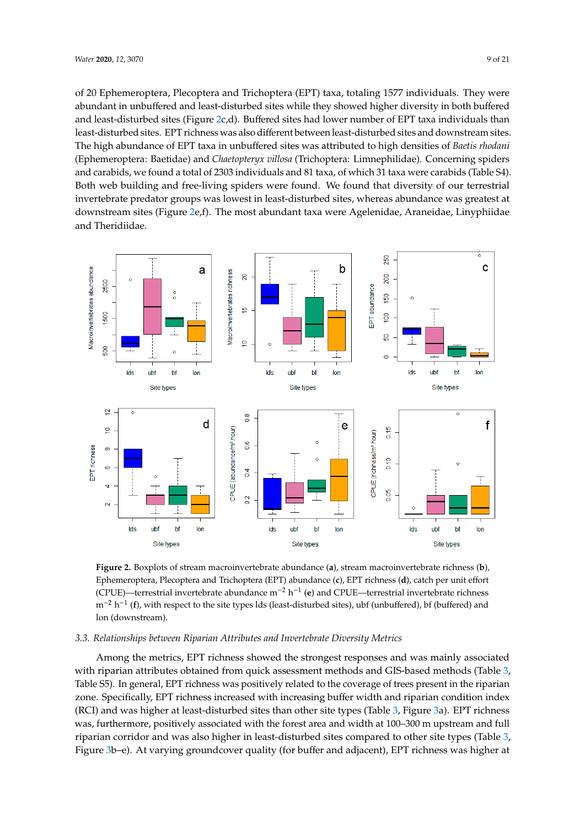of 20 Ephemeroptera, Plecoptera and Trichoptera (EPT) taxa, totaling 1577 individuals. They were abundant in unbuffered and least-disturbed sites while they showed higher diversity in both buffered and least-disturbed sites (Figure [2c](#page-8-0),d). Buffered sites had lower number of EPT taxa individuals than least-disturbed sites. EPT richness was also different between least-disturbed sites and downstream sites. The high abundance of EPT taxa in unbuffered sites was attributed to high densities of *Baetis rhodani* (Ephemeroptera: Baetidae) and *Chaetopteryx villosa* (Trichoptera: Limnephilidae). Concerning spiders and carabids, we found a total of 2303 individuals and 81 taxa, of which 31 taxa were carabids (Table S4). Both web building and free-living spiders were found. We found that diversity of our terrestrial invertebrate predator groups was lowest in least-disturbed sites, whereas abundance was greatest at downstream sites (Figure [2e](#page-8-0),f). The most abundant taxa were Agelenidae, Araneidae, Linyphiidae and Theridiidae. *Water* **2020**, *12*, x FOR PEER REVIEW 10 of 22

<span id="page-8-0"></span>

**Figure 2.** Boxplots of stream macroinvertebrate abundance (**a**), stream macroinvertebrate richness (**b**), Ephemeroptera, Plecoptera and Trichoptera (EPT) abundance (c), EPT richness (**d**), catch per unit effort (CPUE)—terrestrial invertebrate abundance m<sup>−2</sup> h<sup>−1</sup> (e) and CPUE—terrestrial invertebrate richness  $m^{-2}$  h<sup>-1</sup> (f), with respect to the site types lds (least-disturbed sites), ubf (unbuffered), bf (buffered) and lon (downstream).

# *3.3. Relationships between Riparian Attributes and Invertebrate Diversity Metrics 3.3. Relationships between Riparian Attributes and Invertebrate Diversity Metrics*

Among the metrics, EPT richness showed the strongest responses and was mainly associated  $\frac{1}{2}$ with riparian attributes obtained from quick assessment methods and GIS-based methods (Table [3,](#page-10-0) with riparity of the state of the state of the state of the state of the state of the state of the state of the state of the s Table S5). In general, EPT richness was positively related to the coverage of trees present in the Table S5). In general, EPT richness was positively related to the coverage of trees present in the riparian zone. Specifically, EPT richness increased with increasing buffer width and riparian condition index<br> $Z_{\text{max}}$ (RCI) and was higher at least-disturbed sites than other site types (Table [3,](#page-10-0) Figure [3a](#page-9-0)). EPT richness<br>Condition in the little site of the little site of the little site of 200, 200, and it is the little site of the little was, furthermore, positively associated with the forest area and width at  $100-300$  m upstream and full  $\cdot$ m upstream and full riparian corridor and was also higher in least-disturbed sites compared to other riparian corridor and was also higher in least-disturbed sites compared to other site types (Table [3,](#page-10-0) Figure [3b](#page-9-0)–e). At varying groundcover quality (for buffer and adjacent), EPT richness was higher at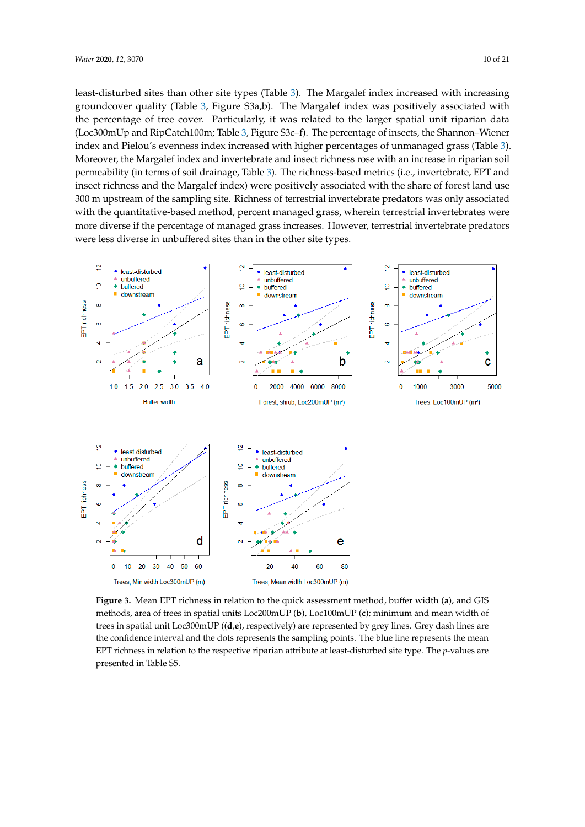<span id="page-9-1"></span>least-disturbed sites than other site types (Table [3\)](#page-10-0). The Margalef index increased with increasing groundcover quality (Table [3,](#page-10-0) Figure S3a,b). The Margalef index was positively associated with the percentage of tree cover. Particularly, it was related to the larger spatial unit riparian data (Loc300mUp and RipCatch100m; Table [3,](#page-10-0) Figure S3c–f). The percentage of insects, the Shannon–Wiener index and Pielou's evenness index increased with higher percentages of unmanaged grass (Table [3\)](#page-10-0). Moreover, the Margalef index and invertebrate and insect richness rose with an increase in riparian soil permeability (in terms of soil drainage, Table [3\)](#page-10-0). The richness-based metrics (i.e., invertebrate, EPT and insect richness and the Margalef index) were positively associated with the share of forest land use 300 m upstream of the sampling site. Richness of terrestrial invertebrate predators was only associated with the quantitative-based method, percent managed grass, wherein terrestrial invertebrates were more diverse if the percentage of managed grass increases. However, terrestrial invertebrate predators were less diverse in unbuffered sites than in the other site types.

<span id="page-9-0"></span>

**Figure 3.** Mean EPT richness in relation to the quick assessment method, buffer width (**a**), and GIS methods, area of trees in spatial units Loc200mUP (**b**), Loc100mUP (**c**); minimum and mean width of  $t$  and the contract of the contract the contract  $(t)$ , and the contract  $(t)$ , maintain and mean when  $c$  trees in spatial unit Loc300mUP ( $(d,e)$ , respectively) are represented by grey lines. Grey dash lines are trees in spatial unit Loc300mUP ((**d**,**e**), respectively) are represented by grey lines. Grey dash lines are the confidence interval and the dots represents the sampling points. The blue line represents the mean  $\frac{1}{\sqrt{2\pi}}$  the confidence interval and the dots represents the sampling points. The final represents the meaning points the meaning points the meaning points. The meaning points the meaning points the meaning points t EPT richness in relation to the respective riparian attribute at least-disturbed site type. The p-values are later and the CF are presented in Table S5. presented in Table S5.**Figure 3.** Mean EPT richness in relation to the quick assessment method, buffer width (**a**), and GIS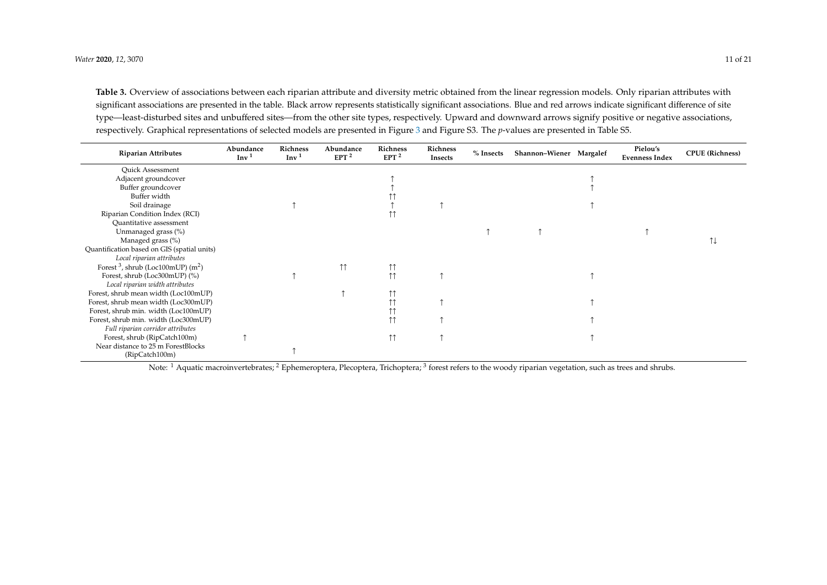Table 3. Overview of associations between each riparian attribute and diversity metric obtained from the linear regression models. Only riparian attributes with significant associations are presented in the table. Black arrow represents statistically significant associations. Blue and red arrows indicate significant difference of site type—least-disturbed sites and unbuffered sites—from the other site types, respectively. Upward and downward arrows signify positive or negative associations, respectively. Graphical representations of selected models are presented in Figure [3](#page-9-1) and Figure S3. The *p*-values are presented in Table S5.

| <b>Riparian Attributes</b>                       | Abundance<br>Inv <sup>1</sup> | Richness<br>Inv <sup>1</sup> | Abundance<br>EPT <sup>2</sup> | Richness<br>EPT <sup>2</sup> | Richness<br>Insects | $%$ Insects | Shannon-Wiener Margalef | Pielou's<br><b>Evenness Index</b> | <b>CPUE</b> (Richness) |
|--------------------------------------------------|-------------------------------|------------------------------|-------------------------------|------------------------------|---------------------|-------------|-------------------------|-----------------------------------|------------------------|
| <b>Ouick Assessment</b>                          |                               |                              |                               |                              |                     |             |                         |                                   |                        |
| Adjacent groundcover                             |                               |                              |                               |                              |                     |             |                         |                                   |                        |
| Buffer groundcover                               |                               |                              |                               |                              |                     |             |                         |                                   |                        |
| Buffer width                                     |                               |                              |                               |                              |                     |             |                         |                                   |                        |
| Soil drainage                                    |                               |                              |                               |                              |                     |             |                         |                                   |                        |
| Riparian Condition Index (RCI)                   |                               |                              |                               |                              |                     |             |                         |                                   |                        |
| Quantitative assessment                          |                               |                              |                               |                              |                     |             |                         |                                   |                        |
| Unmanaged grass (%)                              |                               |                              |                               |                              |                     |             |                         |                                   |                        |
| Managed grass (%)                                |                               |                              |                               |                              |                     |             |                         |                                   | ↑↓                     |
| Quantification based on GIS (spatial units)      |                               |                              |                               |                              |                     |             |                         |                                   |                        |
| Local riparian attributes                        |                               |                              |                               |                              |                     |             |                         |                                   |                        |
| Forest $3$ , shrub (Loc100mUP) (m <sup>2</sup> ) |                               |                              | $\uparrow \uparrow$           | $\uparrow \uparrow$          |                     |             |                         |                                   |                        |
| Forest, shrub (Loc300mUP) (%)                    |                               |                              |                               | $\uparrow \uparrow$          |                     |             |                         |                                   |                        |
| Local riparian width attributes                  |                               |                              |                               |                              |                     |             |                         |                                   |                        |
| Forest, shrub mean width (Loc100mUP)             |                               |                              |                               | 11                           |                     |             |                         |                                   |                        |
| Forest, shrub mean width (Loc300mUP)             |                               |                              |                               |                              |                     |             |                         |                                   |                        |
| Forest, shrub min. width (Loc100mUP)             |                               |                              |                               | $\mathsf{L}$                 |                     |             |                         |                                   |                        |
| Forest, shrub min. width (Loc300mUP)             |                               |                              |                               | $\uparrow \uparrow$          |                     |             |                         |                                   |                        |
| Full riparian corridor attributes                |                               |                              |                               |                              |                     |             |                         |                                   |                        |
| Forest, shrub (RipCatch100m)                     |                               |                              |                               | $\uparrow \uparrow$          |                     |             |                         |                                   |                        |
| Near distance to 25 m ForestBlocks               |                               |                              |                               |                              |                     |             |                         |                                   |                        |
| (RipCatch100m)                                   |                               |                              |                               |                              |                     |             |                         |                                   |                        |

<span id="page-10-0"></span>Note:  $^1$  Aquatic macroinvertebrates;  $^2$  Ephemeroptera, Plecoptera, Trichoptera;  $^3$  forest refers to the woody riparian vegetation, such as trees and shrubs.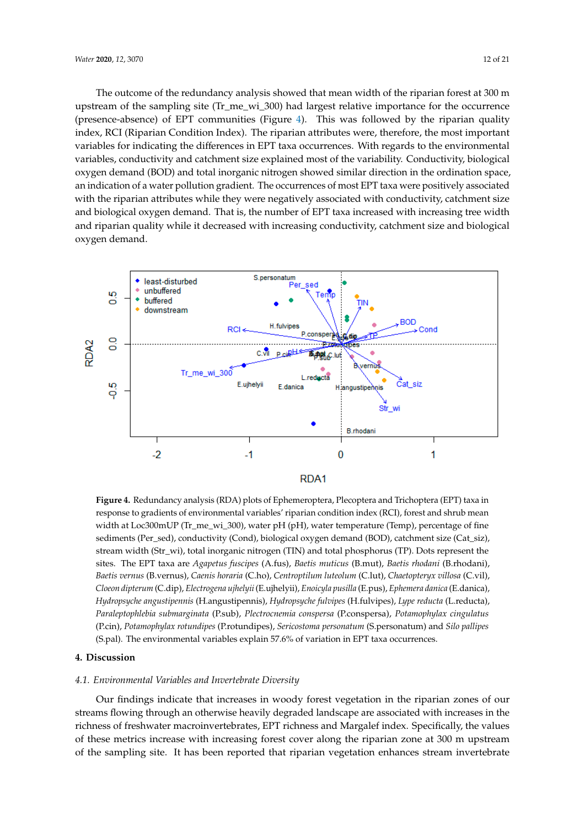The outcome of the redundancy analysis showed that mean width of the riparian forest at 300 m upstream of the sampling site (Tr\_me\_wi\_300) had largest relative importance for the occurrence (presence-absence) of EPT communities (Figure [4\)](#page-11-0). This was followed by the riparian quality index, RCI (Riparian Condition Index). The riparian attributes were, therefore, the most important variables for indicating the differences in EPT taxa occurrences. With regards to the environmental variables, conductivity and catchment size explained most of the variability. Conductivity, biological oxygen demand (BOD) and total inorganic nitrogen showed similar direction in the ordination space, an indication of a water pollution gradient. The occurrences of most EPT taxa were positively associated with the riparian attributes while they were negatively associated with conductivity, catchment size and biological oxygen demand. That is, the number of EPT taxa increased with increasing tree width and riparian quality while it decreased with increasing conductivity, catchment size and biological oxygen demand.

<span id="page-11-0"></span>

response to gradients of environmental variables' riparian condition index (RCI), forest and shrub mean width at Loc300mUP (Tr\_me\_wi\_300), water pH (pH), water temperature (Temp), percentage of fine sediments (Per\_sed), conductivity (Cond), biological oxygen demand (BOD), catchment size (Cat\_siz), stream width (Str\_wi), total inorganic nitrogen (TIN) and total phosphorus (TP). Dots represent the sites. The EPT taxa are *Agapetus fuscipes* (A.fus), *Baetis muticus* (B.mut), *Baetis rhodani* (B.rhodani), Baetis vernus (B.vernus), Caenis horaria (C.ho), Centroptilum luteolum (C.lut), Chaetopteryx villosa (C.vil), Cloeon dipterum (C.dip), Electrogena ujhelyii (E.ujhelyii), Enoicyla pusilla (E.pus), Ephemera danica (E.danica), Hydropsyche angustipennis (H.angustipennis), Hydropsyche fulvipes (H.fulvipes), Lype reducta (L.reducta), Paraleptophlebia submarginata (P.sub), Plectrocnemia conspersa (P.conspersa), Potamophylax cingulatus (P.cin), Potamophylax rotundipes (P.rotundipes), Sericostoma personatum (S.personatum) and Silo pallipes *(S.pal).* The environmental variables explain 57.6% of variation in EPT taxa occurrences. **Figure 4.** Redundancy analysis (RDA) plots of Ephemeroptera, Plecoptera and Trichoptera (EPT) taxa in

# (S.personatum) and *Silo pallipes* (S.pal). The environmental variables explain 57.6% of variation in EPT **4. Discussion**

#### *4.1. Environmental Variables and Invertebrate Diversity*

*4.1. Environmental Variables and Invertebrate Diversity*  streams flowing through an otherwise heavily degraded landscape are associated with increases in the of these metrics increase with increasing forest cover along the riparian zone at 300 m upstream streams flowing through an otherwise heavily degraded the contract of the contract of the contract of the contract of the contract of the contract of the contract of the contract of the contract of the contract of the cont of the sampling site. It has been reported that riparian vegetation enhances stream invertebrate Our findings indicate that increases in woody forest vegetation in the riparian zones of our richness of freshwater macroinvertebrates, EPT richness and Margalef index. Specifically, the values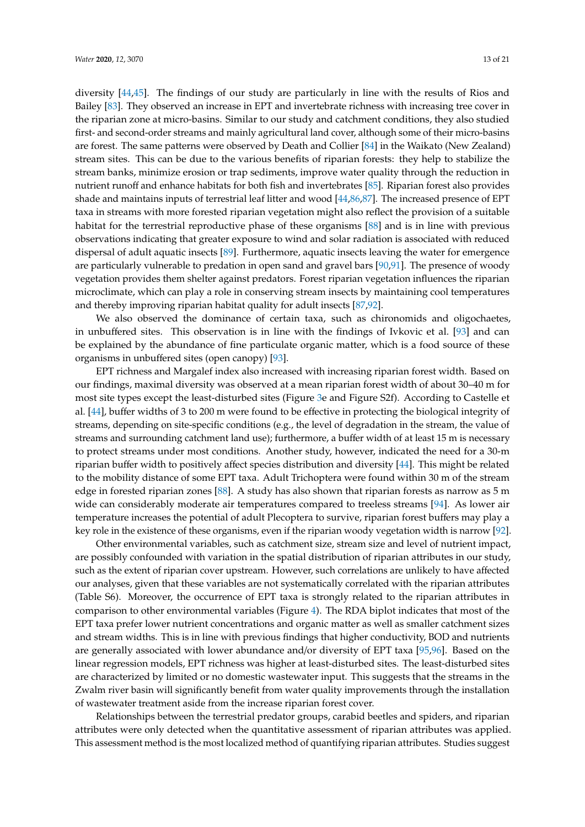diversity [\[44,](#page-17-7)[45\]](#page-17-15). The findings of our study are particularly in line with the results of Rios and Bailey [\[83\]](#page-19-5). They observed an increase in EPT and invertebrate richness with increasing tree cover in the riparian zone at micro-basins. Similar to our study and catchment conditions, they also studied first- and second-order streams and mainly agricultural land cover, although some of their micro-basins are forest. The same patterns were observed by Death and Collier [\[84\]](#page-19-6) in the Waikato (New Zealand) stream sites. This can be due to the various benefits of riparian forests: they help to stabilize the stream banks, minimize erosion or trap sediments, improve water quality through the reduction in nutrient runoff and enhance habitats for both fish and invertebrates [\[85\]](#page-19-7). Riparian forest also provides shade and maintains inputs of terrestrial leaf litter and wood [\[44](#page-17-7)[,86](#page-19-8)[,87\]](#page-19-9). The increased presence of EPT taxa in streams with more forested riparian vegetation might also reflect the provision of a suitable habitat for the terrestrial reproductive phase of these organisms [\[88\]](#page-19-10) and is in line with previous observations indicating that greater exposure to wind and solar radiation is associated with reduced dispersal of adult aquatic insects [\[89\]](#page-19-11). Furthermore, aquatic insects leaving the water for emergence are particularly vulnerable to predation in open sand and gravel bars [\[90](#page-19-12)[,91\]](#page-19-13). The presence of woody

vegetation provides them shelter against predators. Forest riparian vegetation influences the riparian microclimate, which can play a role in conserving stream insects by maintaining cool temperatures and thereby improving riparian habitat quality for adult insects [\[87](#page-19-9)[,92\]](#page-19-14). We also observed the dominance of certain taxa, such as chironomids and oligochaetes,

in unbuffered sites. This observation is in line with the findings of Ivkovic et al. [\[93\]](#page-19-15) and can be explained by the abundance of fine particulate organic matter, which is a food source of these organisms in unbuffered sites (open canopy) [\[93\]](#page-19-15).

EPT richness and Margalef index also increased with increasing riparian forest width. Based on our findings, maximal diversity was observed at a mean riparian forest width of about 30–40 m for most site types except the least-disturbed sites (Figure [3e](#page-9-0) and Figure S2f). According to Castelle et al. [\[44\]](#page-17-7), buffer widths of 3 to 200 m were found to be effective in protecting the biological integrity of streams, depending on site-specific conditions (e.g., the level of degradation in the stream, the value of streams and surrounding catchment land use); furthermore, a buffer width of at least 15 m is necessary to protect streams under most conditions. Another study, however, indicated the need for a 30-m riparian buffer width to positively affect species distribution and diversity [\[44\]](#page-17-7). This might be related to the mobility distance of some EPT taxa. Adult Trichoptera were found within 30 m of the stream edge in forested riparian zones [\[88\]](#page-19-10). A study has also shown that riparian forests as narrow as 5 m wide can considerably moderate air temperatures compared to treeless streams [\[94\]](#page-19-16). As lower air temperature increases the potential of adult Plecoptera to survive, riparian forest buffers may play a key role in the existence of these organisms, even if the riparian woody vegetation width is narrow [\[92\]](#page-19-14).

Other environmental variables, such as catchment size, stream size and level of nutrient impact, are possibly confounded with variation in the spatial distribution of riparian attributes in our study, such as the extent of riparian cover upstream. However, such correlations are unlikely to have affected our analyses, given that these variables are not systematically correlated with the riparian attributes (Table S6). Moreover, the occurrence of EPT taxa is strongly related to the riparian attributes in comparison to other environmental variables (Figure [4\)](#page-11-0). The RDA biplot indicates that most of the EPT taxa prefer lower nutrient concentrations and organic matter as well as smaller catchment sizes and stream widths. This is in line with previous findings that higher conductivity, BOD and nutrients are generally associated with lower abundance and/or diversity of EPT taxa [\[95](#page-19-17)[,96\]](#page-19-18). Based on the linear regression models, EPT richness was higher at least-disturbed sites. The least-disturbed sites are characterized by limited or no domestic wastewater input. This suggests that the streams in the Zwalm river basin will significantly benefit from water quality improvements through the installation of wastewater treatment aside from the increase riparian forest cover.

Relationships between the terrestrial predator groups, carabid beetles and spiders, and riparian attributes were only detected when the quantitative assessment of riparian attributes was applied. This assessment method is the most localized method of quantifying riparian attributes. Studies suggest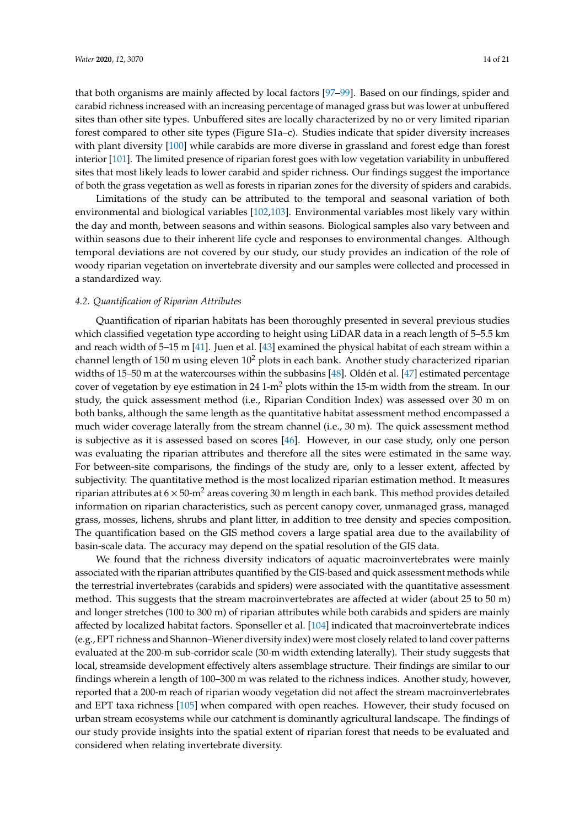that both organisms are mainly affected by local factors [\[97](#page-19-19)[–99\]](#page-19-20). Based on our findings, spider and carabid richness increased with an increasing percentage of managed grass but was lower at unbuffered sites than other site types. Unbuffered sites are locally characterized by no or very limited riparian forest compared to other site types (Figure S1a–c). Studies indicate that spider diversity increases with plant diversity [\[100\]](#page-19-21) while carabids are more diverse in grassland and forest edge than forest interior [\[101\]](#page-20-0). The limited presence of riparian forest goes with low vegetation variability in unbuffered sites that most likely leads to lower carabid and spider richness. Our findings suggest the importance of both the grass vegetation as well as forests in riparian zones for the diversity of spiders and carabids.

Limitations of the study can be attributed to the temporal and seasonal variation of both environmental and biological variables [\[102,](#page-20-1)[103\]](#page-20-2). Environmental variables most likely vary within the day and month, between seasons and within seasons. Biological samples also vary between and within seasons due to their inherent life cycle and responses to environmental changes. Although temporal deviations are not covered by our study, our study provides an indication of the role of woody riparian vegetation on invertebrate diversity and our samples were collected and processed in a standardized way.

#### *4.2. Quantification of Riparian Attributes*

Quantification of riparian habitats has been thoroughly presented in several previous studies which classified vegetation type according to height using LiDAR data in a reach length of 5–5.5 km and reach width of 5–15 m [\[41\]](#page-17-9). Juen et al. [\[43\]](#page-17-6) examined the physical habitat of each stream within a channel length of 150 m using eleven  $10^2$  plots in each bank. Another study characterized riparian widths of 15–50 m at the watercourses within the subbasins [\[48\]](#page-17-11). Oldén et al. [\[47\]](#page-17-10) estimated percentage cover of vegetation by eye estimation in 24 1-m<sup>2</sup> plots within the 15-m width from the stream. In our study, the quick assessment method (i.e., Riparian Condition Index) was assessed over 30 m on both banks, although the same length as the quantitative habitat assessment method encompassed a much wider coverage laterally from the stream channel (i.e., 30 m). The quick assessment method is subjective as it is assessed based on scores [\[46\]](#page-17-8). However, in our case study, only one person was evaluating the riparian attributes and therefore all the sites were estimated in the same way. For between-site comparisons, the findings of the study are, only to a lesser extent, affected by subjectivity. The quantitative method is the most localized riparian estimation method. It measures riparian attributes at  $6 \times 50 \text{·m}^2$  areas covering 30 m length in each bank. This method provides detailed information on riparian characteristics, such as percent canopy cover, unmanaged grass, managed grass, mosses, lichens, shrubs and plant litter, in addition to tree density and species composition. The quantification based on the GIS method covers a large spatial area due to the availability of basin-scale data. The accuracy may depend on the spatial resolution of the GIS data.

We found that the richness diversity indicators of aquatic macroinvertebrates were mainly associated with the riparian attributes quantified by the GIS-based and quick assessment methods while the terrestrial invertebrates (carabids and spiders) were associated with the quantitative assessment method. This suggests that the stream macroinvertebrates are affected at wider (about 25 to 50 m) and longer stretches (100 to 300 m) of riparian attributes while both carabids and spiders are mainly affected by localized habitat factors. Sponseller et al. [\[104\]](#page-20-3) indicated that macroinvertebrate indices (e.g., EPT richness and Shannon–Wiener diversity index) were most closely related to land cover patterns evaluated at the 200-m sub-corridor scale (30-m width extending laterally). Their study suggests that local, streamside development effectively alters assemblage structure. Their findings are similar to our findings wherein a length of 100–300 m was related to the richness indices. Another study, however, reported that a 200-m reach of riparian woody vegetation did not affect the stream macroinvertebrates and EPT taxa richness [\[105\]](#page-20-4) when compared with open reaches. However, their study focused on urban stream ecosystems while our catchment is dominantly agricultural landscape. The findings of our study provide insights into the spatial extent of riparian forest that needs to be evaluated and considered when relating invertebrate diversity.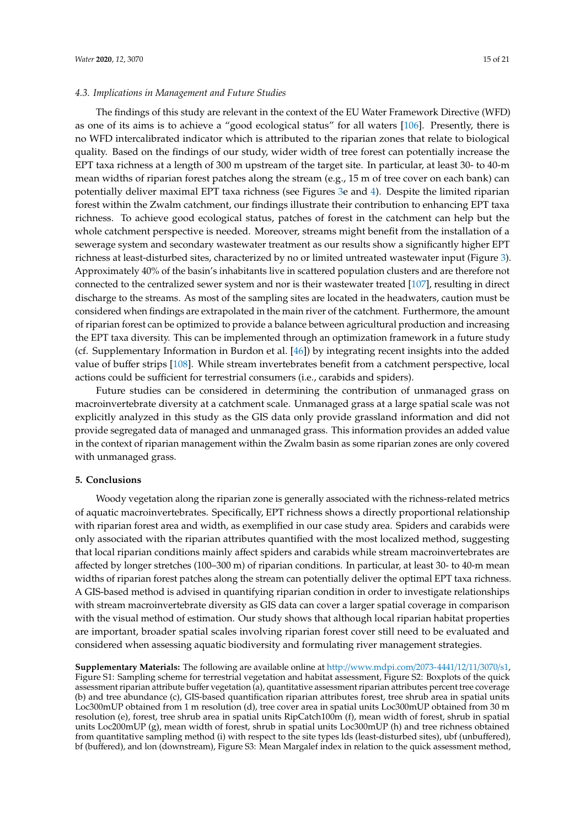# *4.3. Implications in Management and Future Studies*

The findings of this study are relevant in the context of the EU Water Framework Directive (WFD) as one of its aims is to achieve a "good ecological status" for all waters [\[106\]](#page-20-5). Presently, there is no WFD intercalibrated indicator which is attributed to the riparian zones that relate to biological quality. Based on the findings of our study, wider width of tree forest can potentially increase the EPT taxa richness at a length of 300 m upstream of the target site. In particular, at least 30- to 40-m mean widths of riparian forest patches along the stream (e.g., 15 m of tree cover on each bank) can potentially deliver maximal EPT taxa richness (see Figures [3e](#page-9-0) and [4\)](#page-11-0). Despite the limited riparian forest within the Zwalm catchment, our findings illustrate their contribution to enhancing EPT taxa richness. To achieve good ecological status, patches of forest in the catchment can help but the whole catchment perspective is needed. Moreover, streams might benefit from the installation of a sewerage system and secondary wastewater treatment as our results show a significantly higher EPT richness at least-disturbed sites, characterized by no or limited untreated wastewater input (Figure [3\)](#page-9-0). Approximately 40% of the basin's inhabitants live in scattered population clusters and are therefore not connected to the centralized sewer system and nor is their wastewater treated [\[107\]](#page-20-6), resulting in direct discharge to the streams. As most of the sampling sites are located in the headwaters, caution must be considered when findings are extrapolated in the main river of the catchment. Furthermore, the amount of riparian forest can be optimized to provide a balance between agricultural production and increasing the EPT taxa diversity. This can be implemented through an optimization framework in a future study (cf. Supplementary Information in Burdon et al. [\[46\]](#page-17-8)) by integrating recent insights into the added value of buffer strips [\[108\]](#page-20-7). While stream invertebrates benefit from a catchment perspective, local actions could be sufficient for terrestrial consumers (i.e., carabids and spiders).

Future studies can be considered in determining the contribution of unmanaged grass on macroinvertebrate diversity at a catchment scale. Unmanaged grass at a large spatial scale was not explicitly analyzed in this study as the GIS data only provide grassland information and did not provide segregated data of managed and unmanaged grass. This information provides an added value in the context of riparian management within the Zwalm basin as some riparian zones are only covered with unmanaged grass.

# **5. Conclusions**

Woody vegetation along the riparian zone is generally associated with the richness-related metrics of aquatic macroinvertebrates. Specifically, EPT richness shows a directly proportional relationship with riparian forest area and width, as exemplified in our case study area. Spiders and carabids were only associated with the riparian attributes quantified with the most localized method, suggesting that local riparian conditions mainly affect spiders and carabids while stream macroinvertebrates are affected by longer stretches (100–300 m) of riparian conditions. In particular, at least 30- to 40-m mean widths of riparian forest patches along the stream can potentially deliver the optimal EPT taxa richness. A GIS-based method is advised in quantifying riparian condition in order to investigate relationships with stream macroinvertebrate diversity as GIS data can cover a larger spatial coverage in comparison with the visual method of estimation. Our study shows that although local riparian habitat properties are important, broader spatial scales involving riparian forest cover still need to be evaluated and considered when assessing aquatic biodiversity and formulating river management strategies.

**Supplementary Materials:** The following are available online at http://[www.mdpi.com](http://www.mdpi.com/2073-4441/12/11/3070/s1)/2073-4441/12/11/3070/s1, Figure S1: Sampling scheme for terrestrial vegetation and habitat assessment, Figure S2: Boxplots of the quick assessment riparian attribute buffer vegetation (a), quantitative assessment riparian attributes percent tree coverage (b) and tree abundance (c), GIS-based quantification riparian attributes forest, tree shrub area in spatial units Loc300mUP obtained from 1 m resolution (d), tree cover area in spatial units Loc300mUP obtained from 30 m resolution (e), forest, tree shrub area in spatial units RipCatch100m (f), mean width of forest, shrub in spatial units Loc200mUP (g), mean width of forest, shrub in spatial units Loc300mUP (h) and tree richness obtained from quantitative sampling method (i) with respect to the site types lds (least-disturbed sites), ubf (unbuffered), bf (buffered), and lon (downstream), Figure S3: Mean Margalef index in relation to the quick assessment method,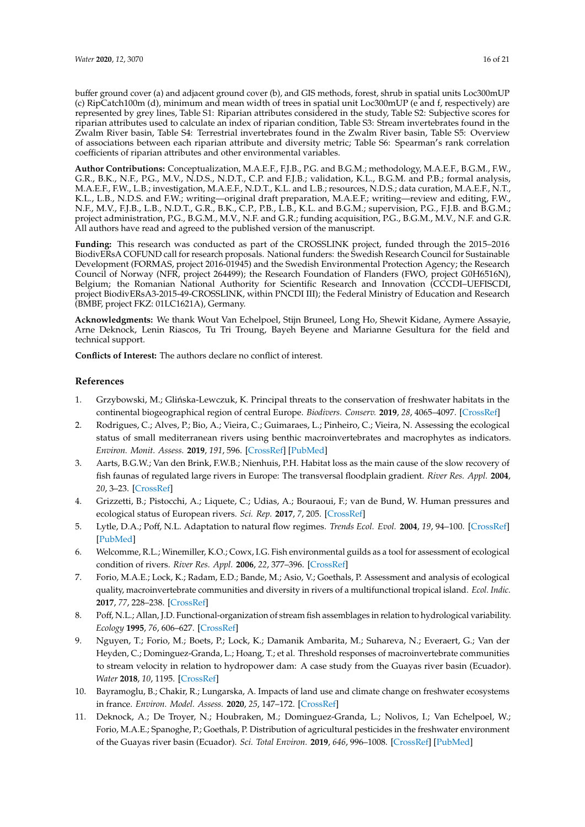buffer ground cover (a) and adjacent ground cover (b), and GIS methods, forest, shrub in spatial units Loc300mUP (c) RipCatch100m (d), minimum and mean width of trees in spatial unit Loc300mUP (e and f, respectively) are represented by grey lines, Table S1: Riparian attributes considered in the study, Table S2: Subjective scores for riparian attributes used to calculate an index of riparian condition, Table S3: Stream invertebrates found in the Zwalm River basin, Table S4: Terrestrial invertebrates found in the Zwalm River basin, Table S5: Overview of associations between each riparian attribute and diversity metric; Table S6: Spearman's rank correlation coefficients of riparian attributes and other environmental variables.

**Author Contributions:** Conceptualization, M.A.E.F., F.J.B., P.G. and B.G.M.; methodology, M.A.E.F., B.G.M., F.W., G.R., B.K., N.F., P.G., M.V., N.D.S., N.D.T., C.P. and F.J.B.; validation, K.L., B.G.M. and P.B.; formal analysis, M.A.E.F., F.W., L.B.; investigation, M.A.E.F., N.D.T., K.L. and L.B.; resources, N.D.S.; data curation, M.A.E.F., N.T., K.L., L.B., N.D.S. and F.W.; writing—original draft preparation, M.A.E.F.; writing—review and editing, F.W., N.F., M.V., F.J.B., L.B., N.D.T., G.R., B.K., C.P., P.B., L.B., K.L. and B.G.M.; supervision, P.G., F.J.B. and B.G.M.; project administration, P.G., B.G.M., M.V., N.F. and G.R.; funding acquisition, P.G., B.G.M., M.V., N.F. and G.R. All authors have read and agreed to the published version of the manuscript.

**Funding:** This research was conducted as part of the CROSSLINK project, funded through the 2015–2016 BiodivERsA COFUND call for research proposals. National funders: the Swedish Research Council for Sustainable Development (FORMAS, project 2016-01945) and the Swedish Environmental Protection Agency; the Research Council of Norway (NFR, project 264499); the Research Foundation of Flanders (FWO, project G0H6516N), Belgium; the Romanian National Authority for Scientific Research and Innovation (CCCDI–UEFISCDI, project BiodivERsA3-2015-49-CROSSLINK, within PNCDI III); the Federal Ministry of Education and Research (BMBF, project FKZ: 01LC1621A), Germany.

**Acknowledgments:** We thank Wout Van Echelpoel, Stijn Bruneel, Long Ho, Shewit Kidane, Aymere Assayie, Arne Deknock, Lenin Riascos, Tu Tri Troung, Bayeh Beyene and Marianne Gesultura for the field and technical support.

**Conflicts of Interest:** The authors declare no conflict of interest.

# **References**

- <span id="page-15-0"></span>1. Grzybowski, M.; Glińska-Lewczuk, K. Principal threats to the conservation of freshwater habitats in the continental biogeographical region of central Europe. *Biodivers. Conserv.* **2019**, *28*, 4065–4097. [\[CrossRef\]](http://dx.doi.org/10.1007/s10531-019-01865-x)
- 2. Rodrigues, C.; Alves, P.; Bio, A.; Vieira, C.; Guimaraes, L.; Pinheiro, C.; Vieira, N. Assessing the ecological status of small mediterranean rivers using benthic macroinvertebrates and macrophytes as indicators. *Environ. Monit. Assess.* **2019**, *191*, 596. [\[CrossRef\]](http://dx.doi.org/10.1007/s10661-019-7766-8) [\[PubMed\]](http://www.ncbi.nlm.nih.gov/pubmed/31463760)
- 3. Aarts, B.G.W.; Van den Brink, F.W.B.; Nienhuis, P.H. Habitat loss as the main cause of the slow recovery of fish faunas of regulated large rivers in Europe: The transversal floodplain gradient. *River Res. Appl.* **2004**, *20*, 3–23. [\[CrossRef\]](http://dx.doi.org/10.1002/rra.720)
- <span id="page-15-1"></span>4. Grizzetti, B.; Pistocchi, A.; Liquete, C.; Udias, A.; Bouraoui, F.; van de Bund, W. Human pressures and ecological status of European rivers. *Sci. Rep.* **2017**, *7*, 205. [\[CrossRef\]](http://dx.doi.org/10.1038/s41598-017-00324-3)
- <span id="page-15-2"></span>5. Lytle, D.A.; Poff, N.L. Adaptation to natural flow regimes. *Trends Ecol. Evol.* **2004**, *19*, 94–100. [\[CrossRef\]](http://dx.doi.org/10.1016/j.tree.2003.10.002) [\[PubMed\]](http://www.ncbi.nlm.nih.gov/pubmed/16701235)
- <span id="page-15-4"></span>6. Welcomme, R.L.; Winemiller, K.O.; Cowx, I.G. Fish environmental guilds as a tool for assessment of ecological condition of rivers. *River Res. Appl.* **2006**, *22*, 377–396. [\[CrossRef\]](http://dx.doi.org/10.1002/rra.914)
- <span id="page-15-3"></span>7. Forio, M.A.E.; Lock, K.; Radam, E.D.; Bande, M.; Asio, V.; Goethals, P. Assessment and analysis of ecological quality, macroinvertebrate communities and diversity in rivers of a multifunctional tropical island. *Ecol. Indic.* **2017**, *77*, 228–238. [\[CrossRef\]](http://dx.doi.org/10.1016/j.ecolind.2017.02.013)
- <span id="page-15-5"></span>8. Poff, N.L.; Allan, J.D. Functional-organization of stream fish assemblages in relation to hydrological variability. *Ecology* **1995**, *76*, 606–627. [\[CrossRef\]](http://dx.doi.org/10.2307/1941217)
- <span id="page-15-6"></span>9. Nguyen, T.; Forio, M.; Boets, P.; Lock, K.; Damanik Ambarita, M.; Suhareva, N.; Everaert, G.; Van der Heyden, C.; Dominguez-Granda, L.; Hoang, T.; et al. Threshold responses of macroinvertebrate communities to stream velocity in relation to hydropower dam: A case study from the Guayas river basin (Ecuador). *Water* **2018**, *10*, 1195. [\[CrossRef\]](http://dx.doi.org/10.3390/w10091195)
- <span id="page-15-7"></span>10. Bayramoglu, B.; Chakir, R.; Lungarska, A. Impacts of land use and climate change on freshwater ecosystems in france. *Environ. Model. Assess.* **2020**, *25*, 147–172. [\[CrossRef\]](http://dx.doi.org/10.1007/s10666-019-09673-x)
- 11. Deknock, A.; De Troyer, N.; Houbraken, M.; Dominguez-Granda, L.; Nolivos, I.; Van Echelpoel, W.; Forio, M.A.E.; Spanoghe, P.; Goethals, P. Distribution of agricultural pesticides in the freshwater environment of the Guayas river basin (Ecuador). *Sci. Total Environ.* **2019**, *646*, 996–1008. [\[CrossRef\]](http://dx.doi.org/10.1016/j.scitotenv.2018.07.185) [\[PubMed\]](http://www.ncbi.nlm.nih.gov/pubmed/30235652)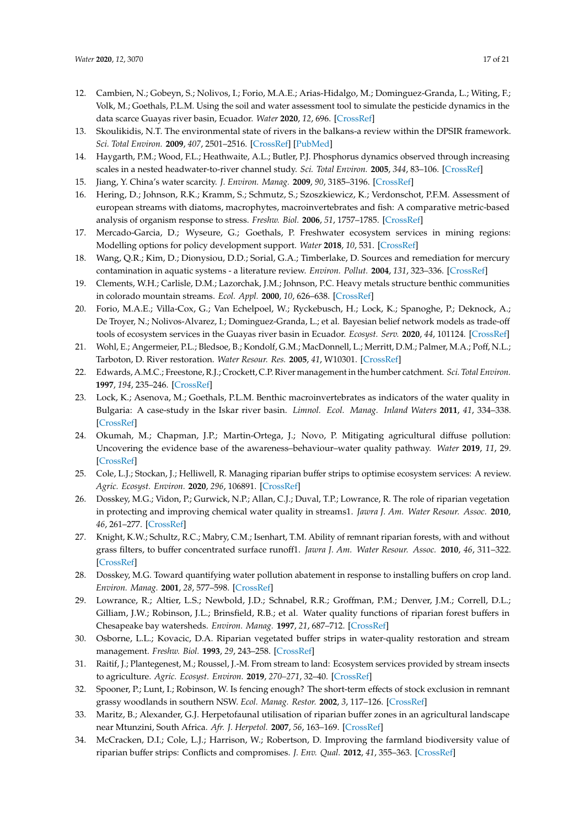- 12. Cambien, N.; Gobeyn, S.; Nolivos, I.; Forio, M.A.E.; Arias-Hidalgo, M.; Dominguez-Granda, L.; Witing, F.; Volk, M.; Goethals, P.L.M. Using the soil and water assessment tool to simulate the pesticide dynamics in the data scarce Guayas river basin, Ecuador. *Water* **2020**, *12*, 696. [\[CrossRef\]](http://dx.doi.org/10.3390/w12030696)
- <span id="page-16-1"></span>13. Skoulikidis, N.T. The environmental state of rivers in the balkans-a review within the DPSIR framework. *Sci. Total Environ.* **2009**, *407*, 2501–2516. [\[CrossRef\]](http://dx.doi.org/10.1016/j.scitotenv.2009.01.026) [\[PubMed\]](http://www.ncbi.nlm.nih.gov/pubmed/19223063)
- <span id="page-16-0"></span>14. Haygarth, P.M.; Wood, F.L.; Heathwaite, A.L.; Butler, P.J. Phosphorus dynamics observed through increasing scales in a nested headwater-to-river channel study. *Sci. Total Environ.* **2005**, *344*, 83–106. [\[CrossRef\]](http://dx.doi.org/10.1016/j.scitotenv.2005.02.007)
- <span id="page-16-3"></span><span id="page-16-2"></span>15. Jiang, Y. China's water scarcity. *J. Environ. Manag.* **2009**, *90*, 3185–3196. [\[CrossRef\]](http://dx.doi.org/10.1016/j.jenvman.2009.04.016)
- 16. Hering, D.; Johnson, R.K.; Kramm, S.; Schmutz, S.; Szoszkiewicz, K.; Verdonschot, P.F.M. Assessment of european streams with diatoms, macrophytes, macroinvertebrates and fish: A comparative metric-based analysis of organism response to stress. *Freshw. Biol.* **2006**, *51*, 1757–1785. [\[CrossRef\]](http://dx.doi.org/10.1111/j.1365-2427.2006.01610.x)
- <span id="page-16-4"></span>17. Mercado-Garcia, D.; Wyseure, G.; Goethals, P. Freshwater ecosystem services in mining regions: Modelling options for policy development support. *Water* **2018**, *10*, 531. [\[CrossRef\]](http://dx.doi.org/10.3390/w10040531)
- 18. Wang, Q.R.; Kim, D.; Dionysiou, D.D.; Sorial, G.A.; Timberlake, D. Sources and remediation for mercury contamination in aquatic systems - a literature review. *Environ. Pollut.* **2004**, *131*, 323–336. [\[CrossRef\]](http://dx.doi.org/10.1016/j.envpol.2004.01.010)
- <span id="page-16-5"></span>19. Clements, W.H.; Carlisle, D.M.; Lazorchak, J.M.; Johnson, P.C. Heavy metals structure benthic communities in colorado mountain streams. *Ecol. Appl.* **2000**, *10*, 626–638. [\[CrossRef\]](http://dx.doi.org/10.1890/1051-0761(2000)010[0626:HMSBCI]2.0.CO;2)
- <span id="page-16-6"></span>20. Forio, M.A.E.; Villa-Cox, G.; Van Echelpoel, W.; Ryckebusch, H.; Lock, K.; Spanoghe, P.; Deknock, A.; De Troyer, N.; Nolivos-Alvarez, I.; Dominguez-Granda, L.; et al. Bayesian belief network models as trade-off tools of ecosystem services in the Guayas river basin in Ecuador. *Ecosyst. Serv.* **2020**, *44*, 101124. [\[CrossRef\]](http://dx.doi.org/10.1016/j.ecoser.2020.101124)
- <span id="page-16-7"></span>21. Wohl, E.; Angermeier, P.L.; Bledsoe, B.; Kondolf, G.M.; MacDonnell, L.; Merritt, D.M.; Palmer, M.A.; Poff, N.L.; Tarboton, D. River restoration. *Water Resour. Res.* **2005**, *41*, W10301. [\[CrossRef\]](http://dx.doi.org/10.1029/2005WR003985)
- 22. Edwards, A.M.C.; Freestone, R.J.; Crockett, C.P. River management in the humber catchment. *Sci. Total Environ.* **1997**, *194*, 235–246. [\[CrossRef\]](http://dx.doi.org/10.1016/S0048-9697(96)05368-5)
- <span id="page-16-8"></span>23. Lock, K.; Asenova, M.; Goethals, P.L.M. Benthic macroinvertebrates as indicators of the water quality in Bulgaria: A case-study in the Iskar river basin. *Limnol. Ecol. Manag. Inland Waters* **2011**, *41*, 334–338. [\[CrossRef\]](http://dx.doi.org/10.1016/j.limno.2011.03.002)
- <span id="page-16-9"></span>24. Okumah, M.; Chapman, J.P.; Martin-Ortega, J.; Novo, P. Mitigating agricultural diffuse pollution: Uncovering the evidence base of the awareness–behaviour–water quality pathway. *Water* **2019**, *11*, 29. [\[CrossRef\]](http://dx.doi.org/10.3390/w11010029)
- <span id="page-16-10"></span>25. Cole, L.J.; Stockan, J.; Helliwell, R. Managing riparian buffer strips to optimise ecosystem services: A review. *Agric. Ecosyst. Environ.* **2020**, *296*, 106891. [\[CrossRef\]](http://dx.doi.org/10.1016/j.agee.2020.106891)
- <span id="page-16-11"></span>26. Dosskey, M.G.; Vidon, P.; Gurwick, N.P.; Allan, C.J.; Duval, T.P.; Lowrance, R. The role of riparian vegetation in protecting and improving chemical water quality in streams1. *Jawra J. Am. Water Resour. Assoc.* **2010**, *46*, 261–277. [\[CrossRef\]](http://dx.doi.org/10.1111/j.1752-1688.2010.00419.x)
- 27. Knight, K.W.; Schultz, R.C.; Mabry, C.M.; Isenhart, T.M. Ability of remnant riparian forests, with and without grass filters, to buffer concentrated surface runoff1. *Jawra J. Am. Water Resour. Assoc.* **2010**, *46*, 311–322. [\[CrossRef\]](http://dx.doi.org/10.1111/j.1752-1688.2010.00422.x)
- 28. Dosskey, M.G. Toward quantifying water pollution abatement in response to installing buffers on crop land. *Environ. Manag.* **2001**, *28*, 577–598. [\[CrossRef\]](http://dx.doi.org/10.1007/s002670010245)
- 29. Lowrance, R.; Altier, L.S.; Newbold, J.D.; Schnabel, R.R.; Groffman, P.M.; Denver, J.M.; Correll, D.L.; Gilliam, J.W.; Robinson, J.L.; Brinsfield, R.B.; et al. Water quality functions of riparian forest buffers in Chesapeake bay watersheds. *Environ. Manag.* **1997**, *21*, 687–712. [\[CrossRef\]](http://dx.doi.org/10.1007/s002679900060)
- <span id="page-16-12"></span>30. Osborne, L.L.; Kovacic, D.A. Riparian vegetated buffer strips in water-quality restoration and stream management. *Freshw. Biol.* **1993**, *29*, 243–258. [\[CrossRef\]](http://dx.doi.org/10.1111/j.1365-2427.1993.tb00761.x)
- <span id="page-16-13"></span>31. Raitif, J.; Plantegenest, M.; Roussel, J.-M. From stream to land: Ecosystem services provided by stream insects to agriculture. *Agric. Ecosyst. Environ.* **2019**, *270–271*, 32–40. [\[CrossRef\]](http://dx.doi.org/10.1016/j.agee.2018.10.013)
- <span id="page-16-14"></span>32. Spooner, P.; Lunt, I.; Robinson, W. Is fencing enough? The short-term effects of stock exclusion in remnant grassy woodlands in southern NSW. *Ecol. Manag. Restor.* **2002**, *3*, 117–126. [\[CrossRef\]](http://dx.doi.org/10.1046/j.1442-8903.2002.00103.x)
- <span id="page-16-15"></span>33. Maritz, B.; Alexander, G.J. Herpetofaunal utilisation of riparian buffer zones in an agricultural landscape near Mtunzini, South Africa. *Afr. J. Herpetol.* **2007**, *56*, 163–169. [\[CrossRef\]](http://dx.doi.org/10.1080/21564574.2007.9635561)
- <span id="page-16-16"></span>34. McCracken, D.I.; Cole, L.J.; Harrison, W.; Robertson, D. Improving the farmland biodiversity value of riparian buffer strips: Conflicts and compromises. *J. Env. Qual.* **2012**, *41*, 355–363. [\[CrossRef\]](http://dx.doi.org/10.2134/jeq2010.0532)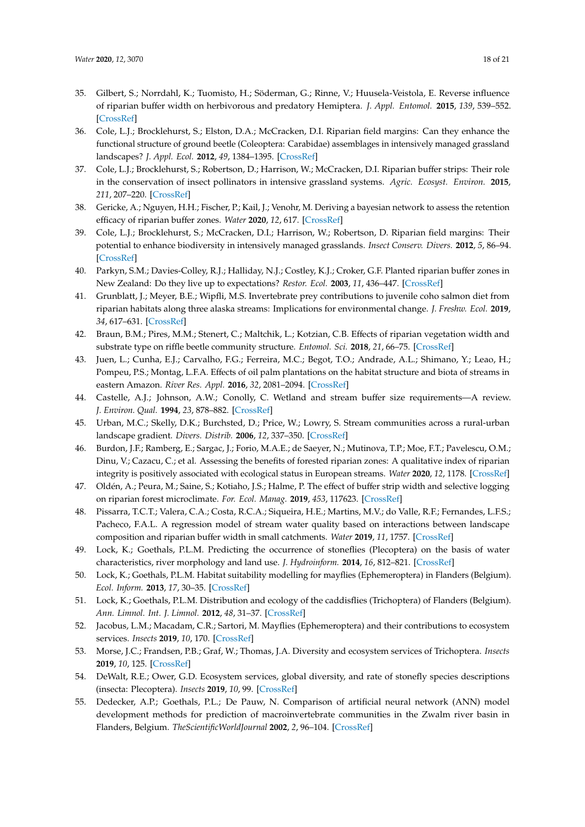- <span id="page-17-0"></span>35. Gilbert, S.; Norrdahl, K.; Tuomisto, H.; Söderman, G.; Rinne, V.; Huusela-Veistola, E. Reverse influence of riparian buffer width on herbivorous and predatory Hemiptera. *J. Appl. Entomol.* **2015**, *139*, 539–552. [\[CrossRef\]](http://dx.doi.org/10.1111/jen.12166)
- <span id="page-17-1"></span>36. Cole, L.J.; Brocklehurst, S.; Elston, D.A.; McCracken, D.I. Riparian field margins: Can they enhance the functional structure of ground beetle (Coleoptera: Carabidae) assemblages in intensively managed grassland landscapes? *J. Appl. Ecol.* **2012**, *49*, 1384–1395. [\[CrossRef\]](http://dx.doi.org/10.1111/j.1365-2664.2012.02200.x)
- <span id="page-17-2"></span>37. Cole, L.J.; Brocklehurst, S.; Robertson, D.; Harrison, W.; McCracken, D.I. Riparian buffer strips: Their role in the conservation of insect pollinators in intensive grassland systems. *Agric. Ecosyst. Environ.* **2015**, *211*, 207–220. [\[CrossRef\]](http://dx.doi.org/10.1016/j.agee.2015.06.012)
- <span id="page-17-3"></span>38. Gericke, A.; Nguyen, H.H.; Fischer, P.; Kail, J.; Venohr, M. Deriving a bayesian network to assess the retention efficacy of riparian buffer zones. *Water* **2020**, *12*, 617. [\[CrossRef\]](http://dx.doi.org/10.3390/w12030617)
- <span id="page-17-4"></span>39. Cole, L.J.; Brocklehurst, S.; McCracken, D.I.; Harrison, W.; Robertson, D. Riparian field margins: Their potential to enhance biodiversity in intensively managed grasslands. *Insect Conserv. Divers.* **2012**, *5*, 86–94. [\[CrossRef\]](http://dx.doi.org/10.1111/j.1752-4598.2011.00147.x)
- <span id="page-17-5"></span>40. Parkyn, S.M.; Davies-Colley, R.J.; Halliday, N.J.; Costley, K.J.; Croker, G.F. Planted riparian buffer zones in New Zealand: Do they live up to expectations? *Restor. Ecol.* **2003**, *11*, 436–447. [\[CrossRef\]](http://dx.doi.org/10.1046/j.1526-100X.2003.rec0260.x)
- <span id="page-17-9"></span>41. Grunblatt, J.; Meyer, B.E.; Wipfli, M.S. Invertebrate prey contributions to juvenile coho salmon diet from riparian habitats along three alaska streams: Implications for environmental change. *J. Freshw. Ecol.* **2019**, *34*, 617–631. [\[CrossRef\]](http://dx.doi.org/10.1080/02705060.2019.1642243)
- 42. Braun, B.M.; Pires, M.M.; Stenert, C.; Maltchik, L.; Kotzian, C.B. Effects of riparian vegetation width and substrate type on riffle beetle community structure. *Entomol. Sci.* **2018**, *21*, 66–75. [\[CrossRef\]](http://dx.doi.org/10.1111/ens.12283)
- <span id="page-17-6"></span>43. Juen, L.; Cunha, E.J.; Carvalho, F.G.; Ferreira, M.C.; Begot, T.O.; Andrade, A.L.; Shimano, Y.; Leao, H.; Pompeu, P.S.; Montag, L.F.A. Effects of oil palm plantations on the habitat structure and biota of streams in eastern Amazon. *River Res. Appl.* **2016**, *32*, 2081–2094. [\[CrossRef\]](http://dx.doi.org/10.1002/rra.3050)
- <span id="page-17-7"></span>44. Castelle, A.J.; Johnson, A.W.; Conolly, C. Wetland and stream buffer size requirements—A review. *J. Environ. Qual.* **1994**, *23*, 878–882. [\[CrossRef\]](http://dx.doi.org/10.2134/jeq1994.00472425002300050004x)
- <span id="page-17-15"></span>45. Urban, M.C.; Skelly, D.K.; Burchsted, D.; Price, W.; Lowry, S. Stream communities across a rural-urban landscape gradient. *Divers. Distrib.* **2006**, *12*, 337–350. [\[CrossRef\]](http://dx.doi.org/10.1111/j.1366-9516.2005.00226.x)
- <span id="page-17-8"></span>46. Burdon, J.F.; Ramberg, E.; Sargac, J.; Forio, M.A.E.; de Saeyer, N.; Mutinova, T.P.; Moe, F.T.; Pavelescu, O.M.; Dinu, V.; Cazacu, C.; et al. Assessing the benefits of forested riparian zones: A qualitative index of riparian integrity is positively associated with ecological status in European streams. *Water* **2020**, *12*, 1178. [\[CrossRef\]](http://dx.doi.org/10.3390/w12041178)
- <span id="page-17-10"></span>47. Oldén, A.; Peura, M.; Saine, S.; Kotiaho, J.S.; Halme, P. The effect of buffer strip width and selective logging on riparian forest microclimate. *For. Ecol. Manag.* **2019**, *453*, 117623. [\[CrossRef\]](http://dx.doi.org/10.1016/j.foreco.2019.117623)
- <span id="page-17-11"></span>48. Pissarra, T.C.T.; Valera, C.A.; Costa, R.C.A.; Siqueira, H.E.; Martins, M.V.; do Valle, R.F.; Fernandes, L.F.S.; Pacheco, F.A.L. A regression model of stream water quality based on interactions between landscape composition and riparian buffer width in small catchments. *Water* **2019**, *11*, 1757. [\[CrossRef\]](http://dx.doi.org/10.3390/w11091757)
- <span id="page-17-12"></span>49. Lock, K.; Goethals, P.L.M. Predicting the occurrence of stoneflies (Plecoptera) on the basis of water characteristics, river morphology and land use. *J. Hydroinform.* **2014**, *16*, 812–821. [\[CrossRef\]](http://dx.doi.org/10.2166/hydro.2013.188)
- 50. Lock, K.; Goethals, P.L.M. Habitat suitability modelling for mayflies (Ephemeroptera) in Flanders (Belgium). *Ecol. Inform.* **2013**, *17*, 30–35. [\[CrossRef\]](http://dx.doi.org/10.1016/j.ecoinf.2011.12.004)
- 51. Lock, K.; Goethals, P.L.M. Distribution and ecology of the caddisflies (Trichoptera) of Flanders (Belgium). *Ann. Limnol. Int. J. Limnol.* **2012**, *48*, 31–37. [\[CrossRef\]](http://dx.doi.org/10.1051/limn/2011056)
- 52. Jacobus, L.M.; Macadam, C.R.; Sartori, M. Mayflies (Ephemeroptera) and their contributions to ecosystem services. *Insects* **2019**, *10*, 170. [\[CrossRef\]](http://dx.doi.org/10.3390/insects10060170)
- 53. Morse, J.C.; Frandsen, P.B.; Graf, W.; Thomas, J.A. Diversity and ecosystem services of Trichoptera. *Insects* **2019**, *10*, 125. [\[CrossRef\]](http://dx.doi.org/10.3390/insects10050125)
- <span id="page-17-13"></span>54. DeWalt, R.E.; Ower, G.D. Ecosystem services, global diversity, and rate of stonefly species descriptions (insecta: Plecoptera). *Insects* **2019**, *10*, 99. [\[CrossRef\]](http://dx.doi.org/10.3390/insects10040099)
- <span id="page-17-14"></span>55. Dedecker, A.P.; Goethals, P.L.; De Pauw, N. Comparison of artificial neural network (ANN) model development methods for prediction of macroinvertebrate communities in the Zwalm river basin in Flanders, Belgium. *TheScientificWorldJournal* **2002**, *2*, 96–104. [\[CrossRef\]](http://dx.doi.org/10.1100/tsw.2002.79)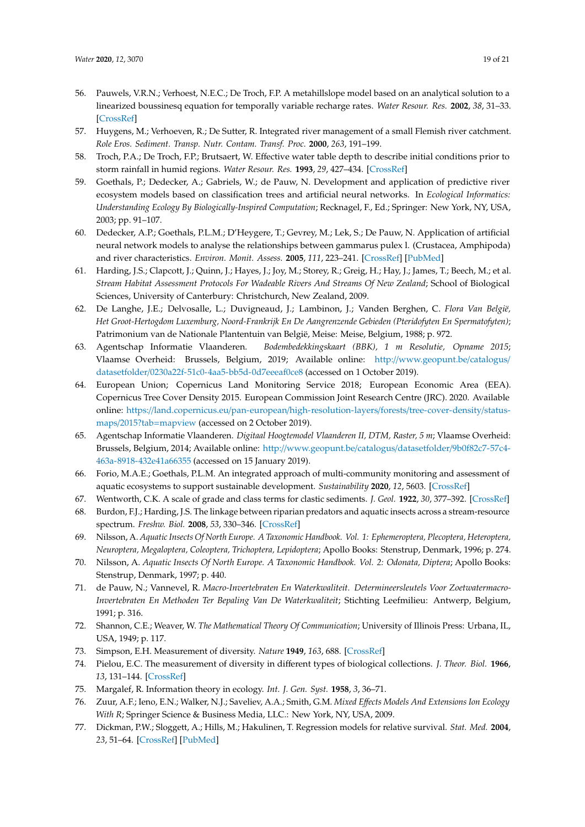- <span id="page-18-0"></span>56. Pauwels, V.R.N.; Verhoest, N.E.C.; De Troch, F.P. A metahillslope model based on an analytical solution to a linearized boussinesq equation for temporally variable recharge rates. *Water Resour. Res.* **2002**, *38*, 31–33. [\[CrossRef\]](http://dx.doi.org/10.1029/2001WR000714)
- <span id="page-18-1"></span>57. Huygens, M.; Verhoeven, R.; De Sutter, R. Integrated river management of a small Flemish river catchment. *Role Eros. Sediment. Transp. Nutr. Contam. Transf. Proc.* **2000**, *263*, 191–199.
- <span id="page-18-2"></span>58. Troch, P.A.; De Troch, F.P.; Brutsaert, W. Effective water table depth to describe initial conditions prior to storm rainfall in humid regions. *Water Resour. Res.* **1993**, *29*, 427–434. [\[CrossRef\]](http://dx.doi.org/10.1029/92WR02087)
- <span id="page-18-3"></span>59. Goethals, P.; Dedecker, A.; Gabriels, W.; de Pauw, N. Development and application of predictive river ecosystem models based on classification trees and artificial neural networks. In *Ecological Informatics: Understanding Ecology By Biologically-Inspired Computation*; Recknagel, F., Ed.; Springer: New York, NY, USA, 2003; pp. 91–107.
- <span id="page-18-4"></span>60. Dedecker, A.P.; Goethals, P.L.M.; D'Heygere, T.; Gevrey, M.; Lek, S.; De Pauw, N. Application of artificial neural network models to analyse the relationships between gammarus pulex l. (Crustacea, Amphipoda) and river characteristics. *Environ. Monit. Assess.* **2005**, *111*, 223–241. [\[CrossRef\]](http://dx.doi.org/10.1007/s10661-005-8221-6) [\[PubMed\]](http://www.ncbi.nlm.nih.gov/pubmed/16311829)
- <span id="page-18-5"></span>61. Harding, J.S.; Clapcott, J.; Quinn, J.; Hayes, J.; Joy, M.; Storey, R.; Greig, H.; Hay, J.; James, T.; Beech, M.; et al. *Stream Habitat Assessment Protocols For Wadeable Rivers And Streams Of New Zealand*; School of Biological Sciences, University of Canterbury: Christchurch, New Zealand, 2009.
- <span id="page-18-6"></span>62. De Langhe, J.E.; Delvosalle, L.; Duvigneaud, J.; Lambinon, J.; Vanden Berghen, C. *Flora Van België, Het Groot-Hertogdom Luxemburg, Noord-Frankrijk En De Aangrenzende Gebieden (Pteridofyten En Spermatofyten)*; Patrimonium van de Nationale Plantentuin van België, Meise: Meise, Belgium, 1988; p. 972.
- <span id="page-18-7"></span>63. Agentschap Informatie Vlaanderen. *Bodembedekkingskaart (BBK), 1 m Resolutie, Opname 2015*; Vlaamse Overheid: Brussels, Belgium, 2019; Available online: http://[www.geopunt.be](http://www.geopunt.be/catalogus/datasetfolder/0230a22f-51c0-4aa5-bb5d-0d7eeeaf0ce8)/catalogus/ datasetfolder/[0230a22f-51c0-4aa5-bb5d-0d7eeeaf0ce8](http://www.geopunt.be/catalogus/datasetfolder/0230a22f-51c0-4aa5-bb5d-0d7eeeaf0ce8) (accessed on 1 October 2019).
- <span id="page-18-8"></span>64. European Union; Copernicus Land Monitoring Service 2018; European Economic Area (EEA). Copernicus Tree Cover Density 2015. European Commission Joint Research Centre (JRC). 2020. Available online: https://land.copernicus.eu/pan-european/[high-resolution-layers](https://land.copernicus.eu/pan-european/high-resolution-layers/forests/tree-cover-density/status-maps/2015?tab=mapview)/forests/tree-cover-density/statusmaps/2015?tab=[mapview](https://land.copernicus.eu/pan-european/high-resolution-layers/forests/tree-cover-density/status-maps/2015?tab=mapview) (accessed on 2 October 2019).
- <span id="page-18-9"></span>65. Agentschap Informatie Vlaanderen. *Digitaal Hoogtemodel Vlaanderen II, DTM, Raster, 5 m*; Vlaamse Overheid: Brussels, Belgium, 2014; Available online: http://[www.geopunt.be](http://www.geopunt.be/catalogus/datasetfolder/9b0f82c7-57c4-463a-8918-432e41a66355)/catalogus/datasetfolder/9b0f82c7-57c4- [463a-8918-432e41a66355](http://www.geopunt.be/catalogus/datasetfolder/9b0f82c7-57c4-463a-8918-432e41a66355) (accessed on 15 January 2019).
- <span id="page-18-10"></span>66. Forio, M.A.E.; Goethals, P.L.M. An integrated approach of multi-community monitoring and assessment of aquatic ecosystems to support sustainable development. *Sustainability* **2020**, *12*, 5603. [\[CrossRef\]](http://dx.doi.org/10.3390/su12145603)
- <span id="page-18-11"></span>67. Wentworth, C.K. A scale of grade and class terms for clastic sediments. *J. Geol.* **1922**, *30*, 377–392. [\[CrossRef\]](http://dx.doi.org/10.1086/622910)
- <span id="page-18-12"></span>68. Burdon, F.J.; Harding, J.S. The linkage between riparian predators and aquatic insects across a stream-resource spectrum. *Freshw. Biol.* **2008**, *53*, 330–346. [\[CrossRef\]](http://dx.doi.org/10.1111/j.1365-2427.2007.01897.x)
- <span id="page-18-13"></span>69. Nilsson, A. *Aquatic Insects Of North Europe. A Taxonomic Handbook. Vol. 1: Ephemeroptera, Plecoptera, Heteroptera, Neuroptera, Megaloptera, Coleoptera, Trichoptera, Lepidoptera*; Apollo Books: Stenstrup, Denmark, 1996; p. 274.
- <span id="page-18-14"></span>70. Nilsson, A. *Aquatic Insects Of North Europe. A Taxonomic Handbook. Vol. 2: Odonata, Diptera*; Apollo Books: Stenstrup, Denmark, 1997; p. 440.
- <span id="page-18-15"></span>71. de Pauw, N.; Vannevel, R. *Macro-Invertebraten En Waterkwaliteit. Determineersleutels Voor Zoetwatermacro-Invertebraten En Methoden Ter Bepaling Van De Waterkwaliteit*; Stichting Leefmilieu: Antwerp, Belgium, 1991; p. 316.
- <span id="page-18-16"></span>72. Shannon, C.E.; Weaver, W. *The Mathematical Theory Of Communication*; University of Illinois Press: Urbana, IL, USA, 1949; p. 117.
- <span id="page-18-17"></span>73. Simpson, E.H. Measurement of diversity. *Nature* **1949**, *163*, 688. [\[CrossRef\]](http://dx.doi.org/10.1038/163688a0)
- <span id="page-18-18"></span>74. Pielou, E.C. The measurement of diversity in different types of biological collections. *J. Theor. Biol.* **1966**, *13*, 131–144. [\[CrossRef\]](http://dx.doi.org/10.1016/0022-5193(66)90013-0)
- <span id="page-18-19"></span>75. Margalef, R. Information theory in ecology. *Int. J. Gen. Syst.* **1958**, *3*, 36–71.
- <span id="page-18-20"></span>76. Zuur, A.F.; Ieno, E.N.; Walker, N.J.; Saveliev, A.A.; Smith, G.M. *Mixed E*ff*ects Models And Extensions Ion Ecology With R*; Springer Science & Business Media, LLC.: New York, NY, USA, 2009.
- <span id="page-18-21"></span>77. Dickman, P.W.; Sloggett, A.; Hills, M.; Hakulinen, T. Regression models for relative survival. *Stat. Med.* **2004**, *23*, 51–64. [\[CrossRef\]](http://dx.doi.org/10.1002/sim.1597) [\[PubMed\]](http://www.ncbi.nlm.nih.gov/pubmed/14695639)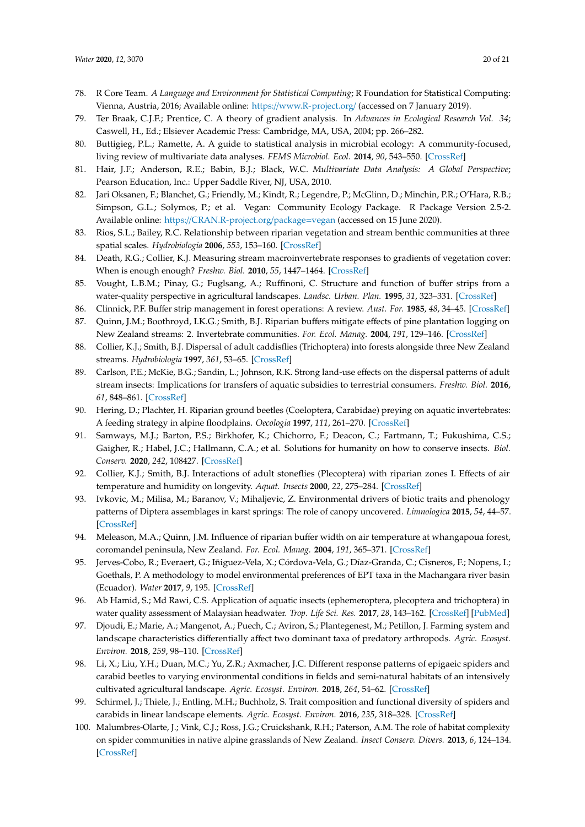- <span id="page-19-0"></span>78. R Core Team. *A Language and Environment for Statistical Computing*; R Foundation for Statistical Computing: Vienna, Austria, 2016; Available online: https://[www.R-project.org](https://www.R-project.org/)/ (accessed on 7 January 2019).
- <span id="page-19-1"></span>79. Ter Braak, C.J.F.; Prentice, C. A theory of gradient analysis. In *Advances in Ecological Research Vol. 34*; Caswell, H., Ed.; Elsiever Academic Press: Cambridge, MA, USA, 2004; pp. 266–282.
- <span id="page-19-2"></span>80. Buttigieg, P.L.; Ramette, A. A guide to statistical analysis in microbial ecology: A community-focused, living review of multivariate data analyses. *FEMS Microbiol. Ecol.* **2014**, *90*, 543–550. [\[CrossRef\]](http://dx.doi.org/10.1111/1574-6941.12437)
- <span id="page-19-3"></span>81. Hair, J.F.; Anderson, R.E.; Babin, B.J.; Black, W.C. *Multivariate Data Analysis: A Global Perspective*; Pearson Education, Inc.: Upper Saddle River, NJ, USA, 2010.
- <span id="page-19-4"></span>82. Jari Oksanen, F.; Blanchet, G.; Friendly, M.; Kindt, R.; Legendre, P.; McGlinn, D.; Minchin, P.R.; O'Hara, R.B.; Simpson, G.L.; Solymos, P.; et al. Vegan: Community Ecology Package. R Package Version 2.5-2. Available online: https://[CRAN.R-project.org](https://CRAN.R-project.org/package=vegan)/package=vegan (accessed on 15 June 2020).
- <span id="page-19-5"></span>83. Rios, S.L.; Bailey, R.C. Relationship between riparian vegetation and stream benthic communities at three spatial scales. *Hydrobiologia* **2006**, *553*, 153–160. [\[CrossRef\]](http://dx.doi.org/10.1007/s10750-005-0868-z)
- <span id="page-19-6"></span>84. Death, R.G.; Collier, K.J. Measuring stream macroinvertebrate responses to gradients of vegetation cover: When is enough enough? *Freshw. Biol.* **2010**, *55*, 1447–1464. [\[CrossRef\]](http://dx.doi.org/10.1111/j.1365-2427.2009.02233.x)
- <span id="page-19-7"></span>85. Vought, L.B.M.; Pinay, G.; Fuglsang, A.; Ruffinoni, C. Structure and function of buffer strips from a water-quality perspective in agricultural landscapes. *Landsc. Urban. Plan.* **1995**, *31*, 323–331. [\[CrossRef\]](http://dx.doi.org/10.1016/0169-2046(94)01057-F)
- <span id="page-19-9"></span><span id="page-19-8"></span>86. Clinnick, P.F. Buffer strip management in forest operations: A review. *Aust. For.* **1985**, *48*, 34–45. [\[CrossRef\]](http://dx.doi.org/10.1080/00049158.1985.10674421)
- 87. Quinn, J.M.; Boothroyd, I.K.G.; Smith, B.J. Riparian buffers mitigate effects of pine plantation logging on New Zealand streams: 2. Invertebrate communities. *For. Ecol. Manag.* **2004**, *191*, 129–146. [\[CrossRef\]](http://dx.doi.org/10.1016/j.foreco.2003.11.013)
- <span id="page-19-10"></span>88. Collier, K.J.; Smith, B.J. Dispersal of adult caddisflies (Trichoptera) into forests alongside three New Zealand streams. *Hydrobiologia* **1997**, *361*, 53–65. [\[CrossRef\]](http://dx.doi.org/10.1023/A:1003133208818)
- <span id="page-19-11"></span>89. Carlson, P.E.; McKie, B.G.; Sandin, L.; Johnson, R.K. Strong land-use effects on the dispersal patterns of adult stream insects: Implications for transfers of aquatic subsidies to terrestrial consumers. *Freshw. Biol.* **2016**, *61*, 848–861. [\[CrossRef\]](http://dx.doi.org/10.1111/fwb.12745)
- <span id="page-19-12"></span>90. Hering, D.; Plachter, H. Riparian ground beetles (Coeloptera, Carabidae) preying on aquatic invertebrates: A feeding strategy in alpine floodplains. *Oecologia* **1997**, *111*, 261–270. [\[CrossRef\]](http://dx.doi.org/10.1007/s004420050234)
- <span id="page-19-13"></span>91. Samways, M.J.; Barton, P.S.; Birkhofer, K.; Chichorro, F.; Deacon, C.; Fartmann, T.; Fukushima, C.S.; Gaigher, R.; Habel, J.C.; Hallmann, C.A.; et al. Solutions for humanity on how to conserve insects. *Biol. Conserv.* **2020**, *242*, 108427. [\[CrossRef\]](http://dx.doi.org/10.1016/j.biocon.2020.108427)
- <span id="page-19-14"></span>92. Collier, K.J.; Smith, B.J. Interactions of adult stoneflies (Plecoptera) with riparian zones I. Effects of air temperature and humidity on longevity. *Aquat. Insects* **2000**, *22*, 275–284. [\[CrossRef\]](http://dx.doi.org/10.1076/0165-0424(200010)22:4;1-Y;FT275)
- <span id="page-19-15"></span>93. Ivkovic, M.; Milisa, M.; Baranov, V.; Mihaljevic, Z. Environmental drivers of biotic traits and phenology patterns of Diptera assemblages in karst springs: The role of canopy uncovered. *Limnologica* **2015**, *54*, 44–57. [\[CrossRef\]](http://dx.doi.org/10.1016/j.limno.2015.09.001)
- <span id="page-19-16"></span>94. Meleason, M.A.; Quinn, J.M. Influence of riparian buffer width on air temperature at whangapoua forest, coromandel peninsula, New Zealand. *For. Ecol. Manag.* **2004**, *191*, 365–371. [\[CrossRef\]](http://dx.doi.org/10.1016/j.foreco.2004.01.016)
- <span id="page-19-17"></span>95. Jerves-Cobo, R.; Everaert, G.; Iñiguez-Vela, X.; Córdova-Vela, G.; Díaz-Granda, C.; Cisneros, F.; Nopens, I.; Goethals, P. A methodology to model environmental preferences of EPT taxa in the Machangara river basin (Ecuador). *Water* **2017**, *9*, 195. [\[CrossRef\]](http://dx.doi.org/10.3390/w9030195)
- <span id="page-19-18"></span>96. Ab Hamid, S.; Md Rawi, C.S. Application of aquatic insects (ephemeroptera, plecoptera and trichoptera) in water quality assessment of Malaysian headwater. *Trop. Life Sci. Res.* **2017**, *28*, 143–162. [\[CrossRef\]](http://dx.doi.org/10.21315/tlsr2017.28.2.11) [\[PubMed\]](http://www.ncbi.nlm.nih.gov/pubmed/28890767)
- <span id="page-19-19"></span>97. Djoudi, E.; Marie, A.; Mangenot, A.; Puech, C.; Aviron, S.; Plantegenest, M.; Petillon, J. Farming system and landscape characteristics differentially affect two dominant taxa of predatory arthropods. *Agric. Ecosyst. Environ.* **2018**, *259*, 98–110. [\[CrossRef\]](http://dx.doi.org/10.1016/j.agee.2018.02.031)
- 98. Li, X.; Liu, Y.H.; Duan, M.C.; Yu, Z.R.; Axmacher, J.C. Different response patterns of epigaeic spiders and carabid beetles to varying environmental conditions in fields and semi-natural habitats of an intensively cultivated agricultural landscape. *Agric. Ecosyst. Environ.* **2018**, *264*, 54–62. [\[CrossRef\]](http://dx.doi.org/10.1016/j.agee.2018.05.005)
- <span id="page-19-20"></span>99. Schirmel, J.; Thiele, J.; Entling, M.H.; Buchholz, S. Trait composition and functional diversity of spiders and carabids in linear landscape elements. *Agric. Ecosyst. Environ.* **2016**, *235*, 318–328. [\[CrossRef\]](http://dx.doi.org/10.1016/j.agee.2016.10.028)
- <span id="page-19-21"></span>100. Malumbres-Olarte, J.; Vink, C.J.; Ross, J.G.; Cruickshank, R.H.; Paterson, A.M. The role of habitat complexity on spider communities in native alpine grasslands of New Zealand. *Insect Conserv. Divers.* **2013**, *6*, 124–134. [\[CrossRef\]](http://dx.doi.org/10.1111/j.1752-4598.2012.00195.x)